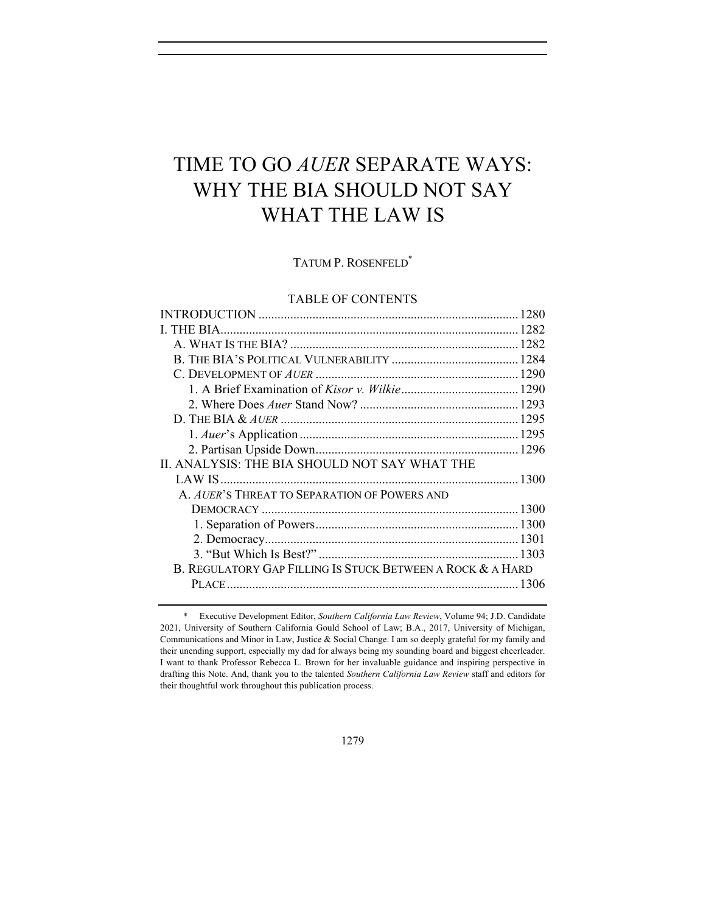# TIME TO GO *AUER* SEPARATE WAYS: WHY THE BIA SHOULD NOT SAY WHAT THE LAW IS

TATUM P. ROSENFELD\*

## TABLE OF CONTENTS

| II. ANALYSIS: THE BIA SHOULD NOT SAY WHAT THE              |  |
|------------------------------------------------------------|--|
|                                                            |  |
| A. AUER'S THREAT TO SEPARATION OF POWERS AND               |  |
|                                                            |  |
|                                                            |  |
|                                                            |  |
|                                                            |  |
| B. REGULATORY GAP FILLING IS STUCK BETWEEN A ROCK & A HARD |  |
|                                                            |  |
|                                                            |  |

<sup>\*</sup> Executive Development Editor, *Southern California Law Review*, Volume 94; J.D. Candidate 2021, University of Southern California Gould School of Law; B.A., 2017, University of Michigan, Communications and Minor in Law, Justice & Social Change. I am so deeply grateful for my family and their unending support, especially my dad for always being my sounding board and biggest cheerleader. I want to thank Professor Rebecca L. Brown for her invaluable guidance and inspiring perspective in drafting this Note. And, thank you to the talented *Southern California Law Review* staff and editors for their thoughtful work throughout this publication process.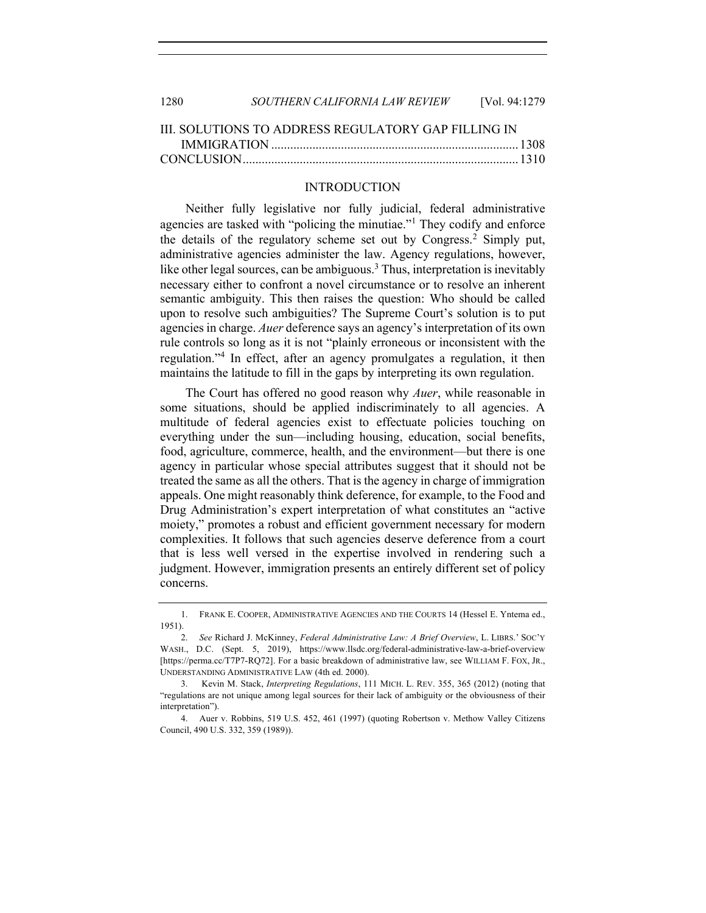| 1280 | SOUTHERN CALIFORNIA LAW REVIEW | [Vol. 94:1279] |
|------|--------------------------------|----------------|
|      |                                |                |

| IIL SOLUTIONS TO ADDRESS REGULATORY GAP FILLING IN |  |
|----------------------------------------------------|--|
|                                                    |  |
|                                                    |  |

## INTRODUCTION

Neither fully legislative nor fully judicial, federal administrative agencies are tasked with "policing the minutiae."<sup>1</sup> They codify and enforce the details of the regulatory scheme set out by Congress.<sup>2</sup> Simply put, administrative agencies administer the law. Agency regulations, however, like other legal sources, can be ambiguous.<sup>3</sup> Thus, interpretation is inevitably necessary either to confront a novel circumstance or to resolve an inherent semantic ambiguity. This then raises the question: Who should be called upon to resolve such ambiguities? The Supreme Court's solution is to put agencies in charge. *Auer* deference says an agency's interpretation of its own rule controls so long as it is not "plainly erroneous or inconsistent with the regulation."<sup>4</sup> In effect, after an agency promulgates a regulation, it then maintains the latitude to fill in the gaps by interpreting its own regulation.

The Court has offered no good reason why *Auer*, while reasonable in some situations, should be applied indiscriminately to all agencies. A multitude of federal agencies exist to effectuate policies touching on everything under the sun—including housing, education, social benefits, food, agriculture, commerce, health, and the environment—but there is one agency in particular whose special attributes suggest that it should not be treated the same as all the others. That is the agency in charge of immigration appeals. One might reasonably think deference, for example, to the Food and Drug Administration's expert interpretation of what constitutes an "active moiety," promotes a robust and efficient government necessary for modern complexities. It follows that such agencies deserve deference from a court that is less well versed in the expertise involved in rendering such a judgment. However, immigration presents an entirely different set of policy concerns.

<sup>1.</sup> FRANK E. COOPER, ADMINISTRATIVE AGENCIES AND THE COURTS 14 (Hessel E. Yntema ed., 1951).

<sup>2.</sup> *See* Richard J. McKinney, *Federal Administrative Law: A Brief Overview*, L. LIBRS.' SOC'Y WASH., D.C. (Sept. 5, 2019), https://www.llsdc.org/federal-administrative-law-a-brief-overview [https://perma.cc/T7P7-RQ72]. For a basic breakdown of administrative law, see WILLIAM F. FOX, JR., UNDERSTANDING ADMINISTRATIVE LAW (4th ed. 2000).

<sup>3.</sup> Kevin M. Stack, *Interpreting Regulations*, 111 MICH. L. REV. 355, 365 (2012) (noting that "regulations are not unique among legal sources for their lack of ambiguity or the obviousness of their interpretation").

<sup>4.</sup> Auer v. Robbins, 519 U.S. 452, 461 (1997) (quoting Robertson v. Methow Valley Citizens Council, 490 U.S. 332, 359 (1989)).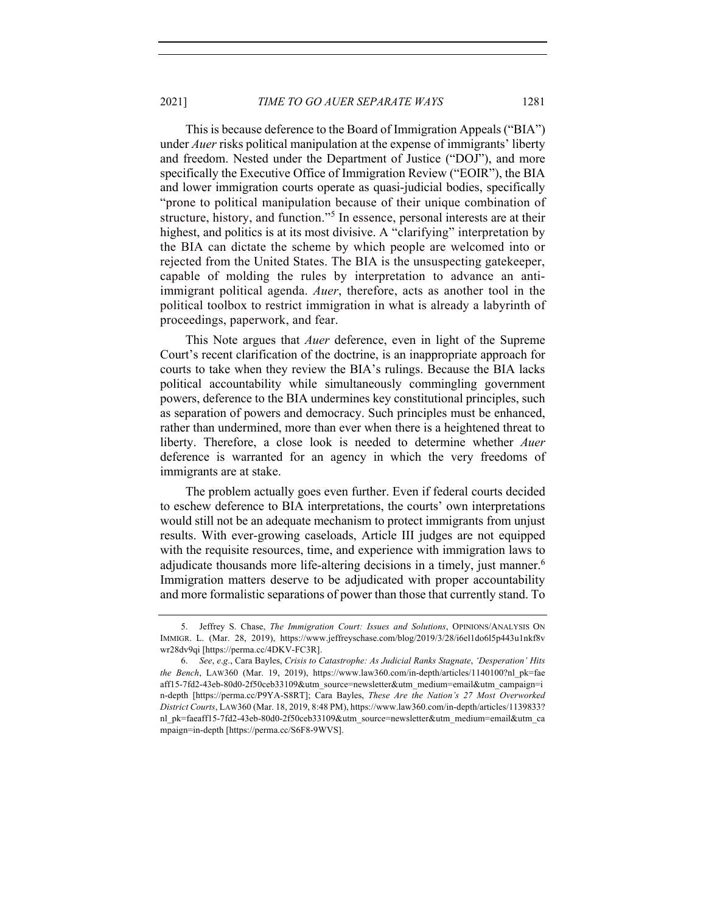This is because deference to the Board of Immigration Appeals ("BIA") under *Auer* risks political manipulation at the expense of immigrants' liberty and freedom. Nested under the Department of Justice ("DOJ"), and more specifically the Executive Office of Immigration Review ("EOIR"), the BIA and lower immigration courts operate as quasi-judicial bodies, specifically "prone to political manipulation because of their unique combination of structure, history, and function."<sup>5</sup> In essence, personal interests are at their highest, and politics is at its most divisive. A "clarifying" interpretation by the BIA can dictate the scheme by which people are welcomed into or rejected from the United States. The BIA is the unsuspecting gatekeeper, capable of molding the rules by interpretation to advance an antiimmigrant political agenda. *Auer*, therefore, acts as another tool in the political toolbox to restrict immigration in what is already a labyrinth of proceedings, paperwork, and fear.

This Note argues that *Auer* deference, even in light of the Supreme Court's recent clarification of the doctrine, is an inappropriate approach for courts to take when they review the BIA's rulings. Because the BIA lacks political accountability while simultaneously commingling government powers, deference to the BIA undermines key constitutional principles, such as separation of powers and democracy. Such principles must be enhanced, rather than undermined, more than ever when there is a heightened threat to liberty. Therefore, a close look is needed to determine whether *Auer* deference is warranted for an agency in which the very freedoms of immigrants are at stake.

The problem actually goes even further. Even if federal courts decided to eschew deference to BIA interpretations, the courts' own interpretations would still not be an adequate mechanism to protect immigrants from unjust results. With ever-growing caseloads, Article III judges are not equipped with the requisite resources, time, and experience with immigration laws to adjudicate thousands more life-altering decisions in a timely, just manner.<sup>6</sup> Immigration matters deserve to be adjudicated with proper accountability and more formalistic separations of power than those that currently stand. To

<sup>5.</sup> Jeffrey S. Chase, *The Immigration Court: Issues and Solutions*, OPINIONS/ANALYSIS ON IMMIGR. L. (Mar. 28, 2019), https://www.jeffreyschase.com/blog/2019/3/28/i6el1do6l5p443u1nkf8v wr28dv9qi [https://perma.cc/4DKV-FC3R].

<sup>6.</sup> *See*, *e*.*g*., Cara Bayles, *Crisis to Catastrophe: As Judicial Ranks Stagnate*, *'Desperation' Hits the Bench*, LAW360 (Mar. 19, 2019), https://www.law360.com/in-depth/articles/1140100?nl\_pk=fae aff15-7fd2-43eb-80d0-2f50ceb33109&utm\_source=newsletter&utm\_medium=email&utm\_campaign=i n-depth [https://perma.cc/P9YA-S8RT]; Cara Bayles, *These Are the Nation's 27 Most Overworked District Courts*, LAW360 (Mar. 18, 2019, 8:48 PM), https://www.law360.com/in-depth/articles/1139833? nl\_pk=faeaff15-7fd2-43eb-80d0-2f50ceb33109&utm\_source=newsletter&utm\_medium=email&utm\_ca mpaign=in-depth [https://perma.cc/S6F8-9WVS].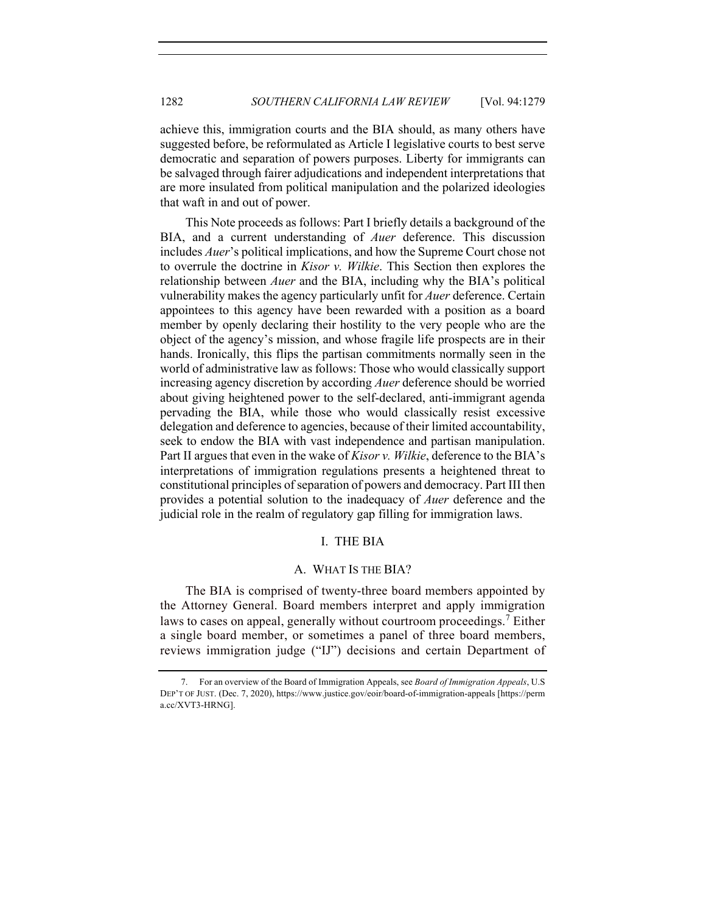achieve this, immigration courts and the BIA should, as many others have suggested before, be reformulated as Article I legislative courts to best serve democratic and separation of powers purposes. Liberty for immigrants can be salvaged through fairer adjudications and independent interpretations that are more insulated from political manipulation and the polarized ideologies that waft in and out of power.

This Note proceeds as follows: Part I briefly details a background of the BIA, and a current understanding of *Auer* deference. This discussion includes *Auer*'s political implications, and how the Supreme Court chose not to overrule the doctrine in *Kisor v. Wilkie*. This Section then explores the relationship between *Auer* and the BIA, including why the BIA's political vulnerability makes the agency particularly unfit for *Auer* deference. Certain appointees to this agency have been rewarded with a position as a board member by openly declaring their hostility to the very people who are the object of the agency's mission, and whose fragile life prospects are in their hands. Ironically, this flips the partisan commitments normally seen in the world of administrative law as follows: Those who would classically support increasing agency discretion by according *Auer* deference should be worried about giving heightened power to the self-declared, anti-immigrant agenda pervading the BIA, while those who would classically resist excessive delegation and deference to agencies, because of their limited accountability, seek to endow the BIA with vast independence and partisan manipulation. Part II argues that even in the wake of *Kisor v. Wilkie*, deference to the BIA's interpretations of immigration regulations presents a heightened threat to constitutional principles of separation of powers and democracy. Part III then provides a potential solution to the inadequacy of *Auer* deference and the judicial role in the realm of regulatory gap filling for immigration laws.

## I. THE BIA

#### A. WHAT IS THE BIA?

The BIA is comprised of twenty-three board members appointed by the Attorney General. Board members interpret and apply immigration laws to cases on appeal, generally without courtroom proceedings.<sup>7</sup> Either a single board member, or sometimes a panel of three board members, reviews immigration judge ("IJ") decisions and certain Department of

<sup>7.</sup> For an overview of the Board of Immigration Appeals, see *Board of Immigration Appeals*, U.S DEP'T OF JUST. (Dec. 7, 2020), https://www.justice.gov/eoir/board-of-immigration-appeals [https://perm a.cc/XVT3-HRNG].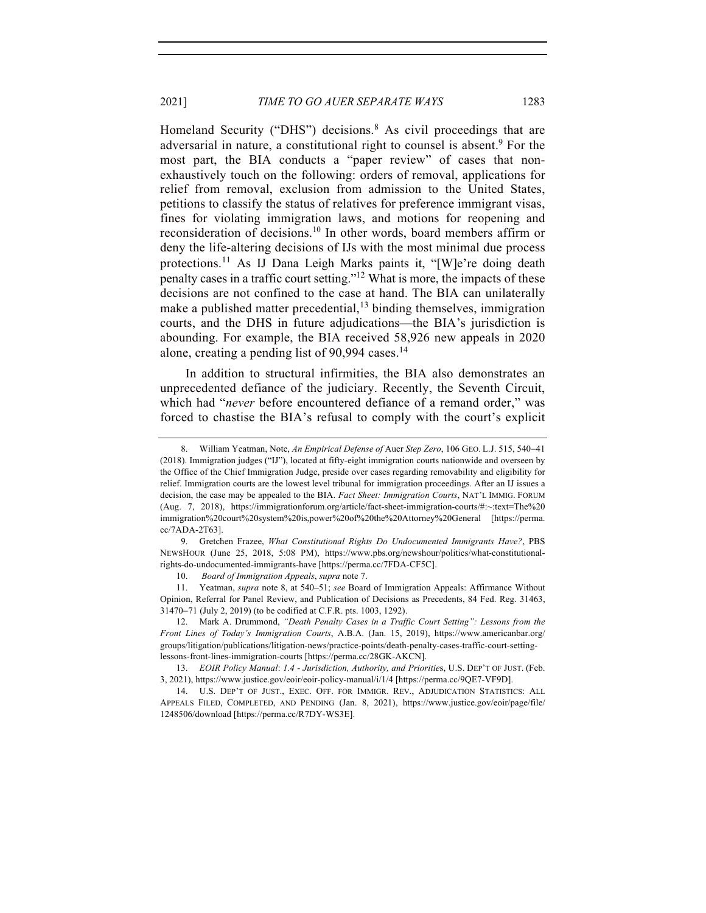Homeland Security ("DHS") decisions.<sup>8</sup> As civil proceedings that are adversarial in nature, a constitutional right to counsel is absent.<sup>9</sup> For the most part, the BIA conducts a "paper review" of cases that nonexhaustively touch on the following: orders of removal, applications for relief from removal, exclusion from admission to the United States, petitions to classify the status of relatives for preference immigrant visas, fines for violating immigration laws, and motions for reopening and reconsideration of decisions.<sup>10</sup> In other words, board members affirm or deny the life-altering decisions of IJs with the most minimal due process protections.<sup>11</sup> As IJ Dana Leigh Marks paints it, "[W]e're doing death penalty cases in a traffic court setting."12 What is more, the impacts of these decisions are not confined to the case at hand. The BIA can unilaterally make a published matter precedential,<sup>13</sup> binding themselves, immigration courts, and the DHS in future adjudications—the BIA's jurisdiction is abounding. For example, the BIA received 58,926 new appeals in 2020 alone, creating a pending list of 90,994 cases.<sup>14</sup>

In addition to structural infirmities, the BIA also demonstrates an unprecedented defiance of the judiciary. Recently, the Seventh Circuit, which had "*never* before encountered defiance of a remand order," was forced to chastise the BIA's refusal to comply with the court's explicit

<sup>8.</sup> William Yeatman, Note, *An Empirical Defense of* Auer *Step Zero*, 106 GEO. L.J. 515, 540-41 (2018). Immigration judges ("IJ"), located at fifty-eight immigration courts nationwide and overseen by the Office of the Chief Immigration Judge, preside over cases regarding removability and eligibility for relief. Immigration courts are the lowest level tribunal for immigration proceedings. After an IJ issues a decision, the case may be appealed to the BIA. *Fact Sheet: Immigration Courts*, NAT'L IMMIG. FORUM (Aug. 7, 2018), https://immigrationforum.org/article/fact-sheet-immigration-courts/#:~:text=The%20 immigration%20court%20system%20is,power%20of%20the%20Attorney%20General [https://perma. cc/7ADA-2T63].

<sup>9.</sup> Gretchen Frazee, *What Constitutional Rights Do Undocumented Immigrants Have?*, PBS NEWSHOUR (June 25, 2018, 5:08 PM), https://www.pbs.org/newshour/politics/what-constitutionalrights-do-undocumented-immigrants-have [https://perma.cc/7FDA-CF5C].

<sup>10.</sup> *Board of Immigration Appeals*, *supra* note 7.

<sup>11.</sup> Yeatman, *supra* note 8, at 540–51; *see* Board of Immigration Appeals: Affirmance Without Opinion, Referral for Panel Review, and Publication of Decisions as Precedents, 84 Fed. Reg. 31463, 31470-71 (July 2, 2019) (to be codified at C.F.R. pts. 1003, 1292).

<sup>12.</sup> Mark A. Drummond, *"Death Penalty Cases in a Traffic Court Setting": Lessons from the Front Lines of Today's Immigration Courts*, A.B.A. (Jan. 15, 2019), https://www.americanbar.org/ groups/litigation/publications/litigation-news/practice-points/death-penalty-cases-traffic-court-settinglessons-front-lines-immigration-courts [https://perma.cc/28GK-AKCN].

<sup>13.</sup> *EOIR Policy Manual*: *1.4 - Jurisdiction, Authority, and Prioritie*s, U.S. DEP'T OF JUST. (Feb. 3, 2021), https://www.justice.gov/eoir/eoir-policy-manual/i/1/4 [https://perma.cc/9QE7-VF9D].

<sup>14.</sup> U.S. DEP'T OF JUST., EXEC. OFF. FOR IMMIGR. REV., ADJUDICATION STATISTICS: ALL APPEALS FILED, COMPLETED, AND PENDING (Jan. 8, 2021), https://www.justice.gov/eoir/page/file/ 1248506/download [https://perma.cc/R7DY-WS3E].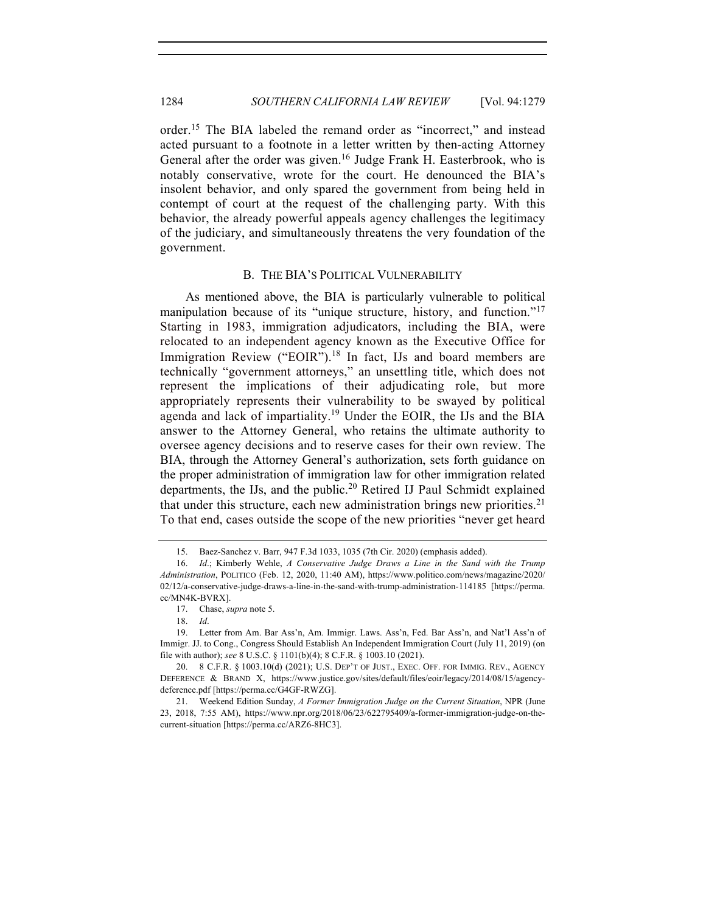order.<sup>15</sup> The BIA labeled the remand order as "incorrect," and instead acted pursuant to a footnote in a letter written by then-acting Attorney General after the order was given.<sup>16</sup> Judge Frank H. Easterbrook, who is notably conservative, wrote for the court. He denounced the BIA's insolent behavior, and only spared the government from being held in contempt of court at the request of the challenging party. With this behavior, the already powerful appeals agency challenges the legitimacy of the judiciary, and simultaneously threatens the very foundation of the government.

#### B. THE BIA'S POLITICAL VULNERABILITY

As mentioned above, the BIA is particularly vulnerable to political manipulation because of its "unique structure, history, and function."<sup>17</sup> Starting in 1983, immigration adjudicators, including the BIA, were relocated to an independent agency known as the Executive Office for Immigration Review ("EOIR").<sup>18</sup> In fact, IJs and board members are technically "government attorneys," an unsettling title, which does not represent the implications of their adjudicating role, but more appropriately represents their vulnerability to be swayed by political agenda and lack of impartiality.<sup>19</sup> Under the EOIR, the IJs and the BIA answer to the Attorney General, who retains the ultimate authority to oversee agency decisions and to reserve cases for their own review. The BIA, through the Attorney General's authorization, sets forth guidance on the proper administration of immigration law for other immigration related departments, the IJs, and the public.<sup>20</sup> Retired IJ Paul Schmidt explained that under this structure, each new administration brings new priorities.<sup>21</sup> To that end, cases outside the scope of the new priorities "never get heard

<sup>15.</sup> Baez-Sanchez v. Barr, 947 F.3d 1033, 1035 (7th Cir. 2020) (emphasis added).

<sup>16.</sup> *Id*.; Kimberly Wehle, *A Conservative Judge Draws a Line in the Sand with the Trump Administration*, POLITICO (Feb. 12, 2020, 11:40 AM), https://www.politico.com/news/magazine/2020/ 02/12/a-conservative-judge-draws-a-line-in-the-sand-with-trump-administration-114185 [https://perma. cc/MN4K-BVRX].

<sup>17.</sup> Chase, *supra* note 5.

<sup>18.</sup> *Id*.

<sup>19.</sup> Letter from Am. Bar Ass'n, Am. Immigr. Laws. Ass'n, Fed. Bar Ass'n, and Nat'l Ass'n of Immigr. JJ. to Cong., Congress Should Establish An Independent Immigration Court (July 11, 2019) (on file with author); *see* 8 U.S.C. § 1101(b)(4); 8 C.F.R. § 1003.10 (2021).

<sup>20.</sup> 8 C.F.R. § 1003.10(d) (2021); U.S. DEP'T OF JUST., EXEC. OFF. FOR IMMIG. REV., AGENCY DEFERENCE & BRAND X, https://www.justice.gov/sites/default/files/eoir/legacy/2014/08/15/agencydeference.pdf [https://perma.cc/G4GF-RWZG].

<sup>21.</sup> Weekend Edition Sunday, *A Former Immigration Judge on the Current Situation*, NPR (June 23, 2018, 7:55 AM), https://www.npr.org/2018/06/23/622795409/a-former-immigration-judge-on-thecurrent-situation [https://perma.cc/ARZ6-8HC3].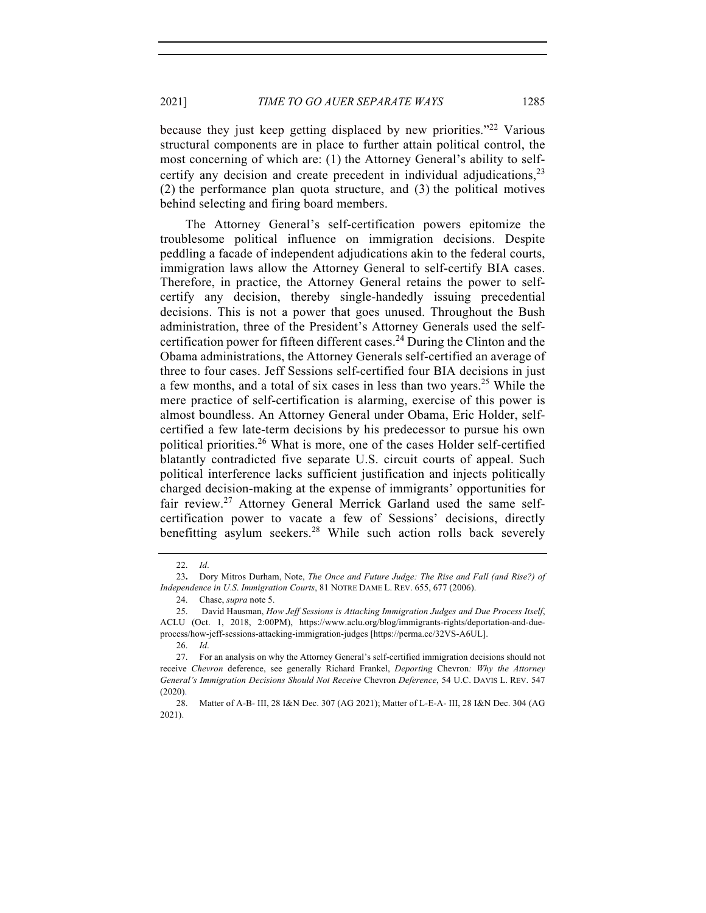because they just keep getting displaced by new priorities."<sup>22</sup> Various structural components are in place to further attain political control, the most concerning of which are: (1) the Attorney General's ability to selfcertify any decision and create precedent in individual adjudications,  $2<sup>3</sup>$ (2) the performance plan quota structure, and (3) the political motives behind selecting and firing board members.

The Attorney General's self-certification powers epitomize the troublesome political influence on immigration decisions. Despite peddling a facade of independent adjudications akin to the federal courts, immigration laws allow the Attorney General to self-certify BIA cases. Therefore, in practice, the Attorney General retains the power to selfcertify any decision, thereby single-handedly issuing precedential decisions. This is not a power that goes unused. Throughout the Bush administration, three of the President's Attorney Generals used the selfcertification power for fifteen different cases.<sup>24</sup> During the Clinton and the Obama administrations, the Attorney Generals self-certified an average of three to four cases. Jeff Sessions self-certified four BIA decisions in just a few months, and a total of six cases in less than two years.<sup>25</sup> While the mere practice of self-certification is alarming, exercise of this power is almost boundless. An Attorney General under Obama, Eric Holder, selfcertified a few late-term decisions by his predecessor to pursue his own political priorities.<sup>26</sup> What is more, one of the cases Holder self-certified blatantly contradicted five separate U.S. circuit courts of appeal. Such political interference lacks sufficient justification and injects politically charged decision-making at the expense of immigrants' opportunities for fair review.<sup>27</sup> Attorney General Merrick Garland used the same selfcertification power to vacate a few of Sessions' decisions, directly benefitting asylum seekers. <sup>28</sup> While such action rolls back severely

<sup>22.</sup> *Id*.

<sup>23</sup>**.** Dory Mitros Durham, Note, *The Once and Future Judge: The Rise and Fall (and Rise?) of Independence in U*.*S*. *Immigration Courts*, 81 NOTRE DAME L. REV. 655, 677 (2006).

<sup>24.</sup> Chase, *supra* note 5.

<sup>25.</sup> David Hausman, *How Jeff Sessions is Attacking Immigration Judges and Due Process Itself*, ACLU (Oct. 1, 2018, 2:00PM), https://www.aclu.org/blog/immigrants-rights/deportation-and-dueprocess/how-jeff-sessions-attacking-immigration-judges [https://perma.cc/32VS-A6UL].

<sup>26.</sup> *Id*.

<sup>27.</sup> For an analysis on why the Attorney General's self-certified immigration decisions should not receive *Chevron* deference, see generally Richard Frankel, *Deporting* Chevron*: Why the Attorney General's Immigration Decisions Should Not Receive* Chevron *Deference*, 54 U.C. DAVIS L. REV. 547 (2020).

<sup>28.</sup> Matter of A-B- III, 28 I&N Dec. 307 (AG 2021); Matter of L-E-A- III, 28 I&N Dec. 304 (AG 2021).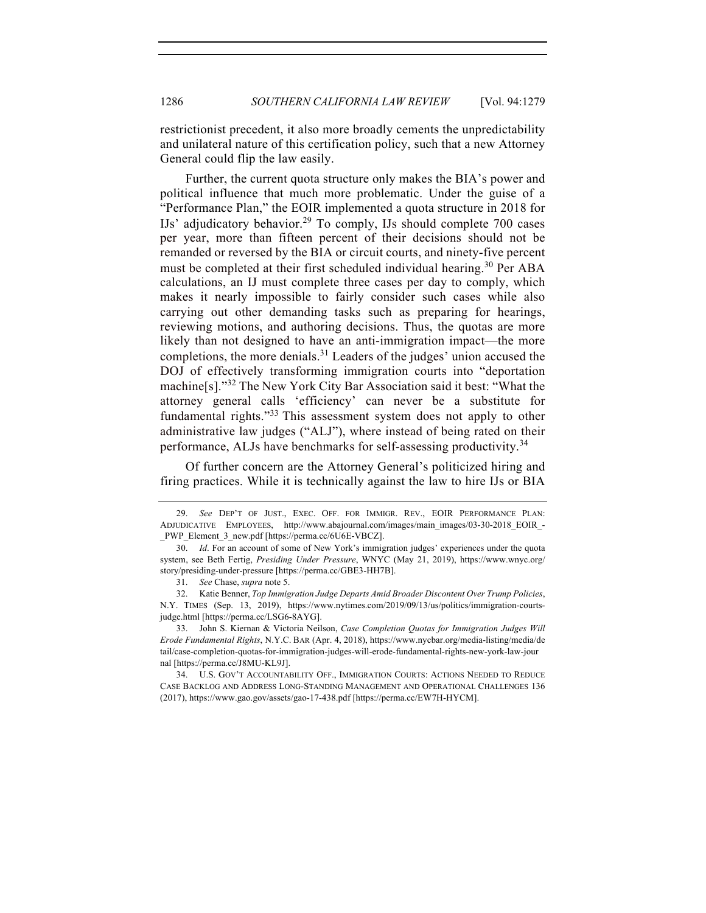restrictionist precedent, it also more broadly cements the unpredictability and unilateral nature of this certification policy, such that a new Attorney General could flip the law easily.

Further, the current quota structure only makes the BIA's power and political influence that much more problematic. Under the guise of a "Performance Plan," the EOIR implemented a quota structure in 2018 for IJs' adjudicatory behavior.<sup>29</sup> To comply, IJs should complete 700 cases per year, more than fifteen percent of their decisions should not be remanded or reversed by the BIA or circuit courts, and ninety-five percent must be completed at their first scheduled individual hearing.<sup>30</sup> Per ABA calculations, an IJ must complete three cases per day to comply, which makes it nearly impossible to fairly consider such cases while also carrying out other demanding tasks such as preparing for hearings, reviewing motions, and authoring decisions. Thus, the quotas are more likely than not designed to have an anti-immigration impact—the more completions, the more denials.<sup>31</sup> Leaders of the judges' union accused the DOJ of effectively transforming immigration courts into "deportation machine[s]."<sup>32</sup> The New York City Bar Association said it best: "What the attorney general calls 'efficiency' can never be a substitute for fundamental rights."<sup>33</sup> This assessment system does not apply to other administrative law judges ("ALJ"), where instead of being rated on their performance, ALJs have benchmarks for self-assessing productivity.<sup>34</sup>

Of further concern are the Attorney General's politicized hiring and firing practices. While it is technically against the law to hire IJs or BIA

<sup>29.</sup> *See* DEP'T OF JUST., EXEC. OFF. FOR IMMIGR. REV., EOIR PERFORMANCE PLAN: ADJUDICATIVE EMPLOYEES, http://www.abajournal.com/images/main\_images/03-30-2018\_EOIR\_- PWP\_Element\_3\_new.pdf [https://perma.cc/6U6E-VBCZ].

<sup>30.</sup> *Id*. For an account of some of New York's immigration judges' experiences under the quota system, see Beth Fertig, *Presiding Under Pressure*, WNYC (May 21, 2019), https://www.wnyc.org/ story/presiding-under-pressure [https://perma.cc/GBE3-HH7B].

<sup>31.</sup> *See* Chase, *supra* note 5.

<sup>32.</sup> Katie Benner, *Top Immigration Judge Departs Amid Broader Discontent Over Trump Policies*, N.Y. TIMES (Sep. 13, 2019), https://www.nytimes.com/2019/09/13/us/politics/immigration-courtsjudge.html [https://perma.cc/LSG6-8AYG].

<sup>33.</sup> John S. Kiernan & Victoria Neilson, *Case Completion Quotas for Immigration Judges Will Erode Fundamental Rights*, N.Y.C. BAR (Apr. 4, 2018), https://www.nycbar.org/media-listing/media/de tail/case-completion-quotas-for-immigration-judges-will-erode-fundamental-rights-new-york-law-jour nal [https://perma.cc/J8MU-KL9J].

<sup>34.</sup> U.S. GOV'T ACCOUNTABILITY OFF., IMMIGRATION COURTS: ACTIONS NEEDED TO REDUCE CASE BACKLOG AND ADDRESS LONG-STANDING MANAGEMENT AND OPERATIONAL CHALLENGES 136 (2017), https://www.gao.gov/assets/gao-17-438.pdf [https://perma.cc/EW7H-HYCM].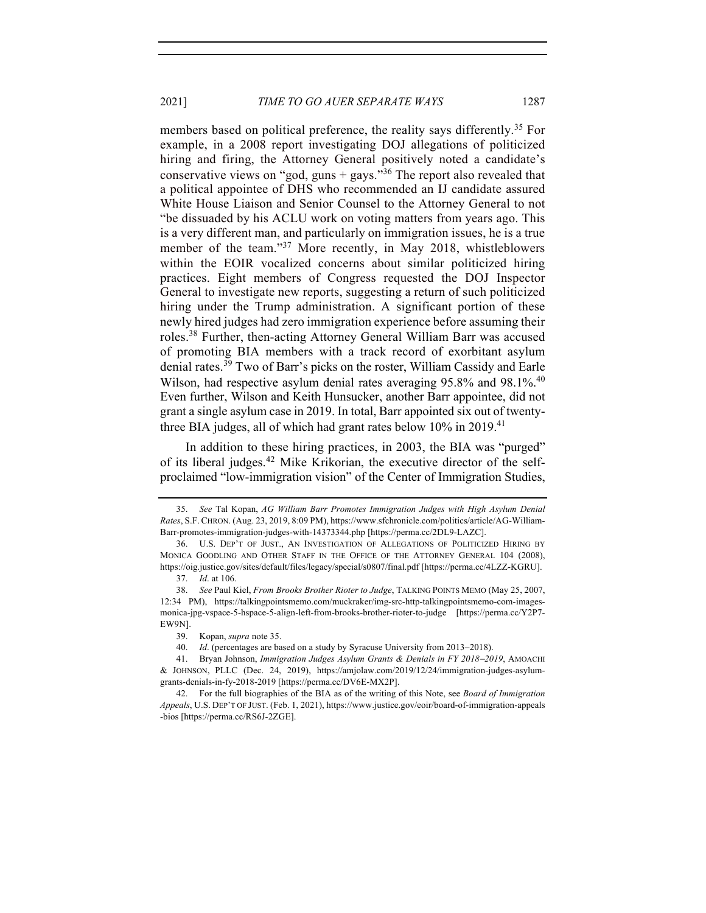2021] *TIME TO GO AUER SEPARATE WAYS* 1287

members based on political preference, the reality says differently.<sup>35</sup> For example, in a 2008 report investigating DOJ allegations of politicized hiring and firing, the Attorney General positively noted a candidate's conservative views on "god, guns + gays."<sup>36</sup> The report also revealed that a political appointee of DHS who recommended an IJ candidate assured White House Liaison and Senior Counsel to the Attorney General to not "be dissuaded by his ACLU work on voting matters from years ago. This is a very different man, and particularly on immigration issues, he is a true member of the team."<sup>37</sup> More recently, in May 2018, whistleblowers within the EOIR vocalized concerns about similar politicized hiring practices. Eight members of Congress requested the DOJ Inspector General to investigate new reports, suggesting a return of such politicized hiring under the Trump administration. A significant portion of these newly hired judges had zero immigration experience before assuming their roles.<sup>38</sup> Further, then-acting Attorney General William Barr was accused of promoting BIA members with a track record of exorbitant asylum denial rates.<sup>39</sup> Two of Barr's picks on the roster, William Cassidy and Earle Wilson, had respective asylum denial rates averaging 95.8% and 98.1%.<sup>40</sup> Even further, Wilson and Keith Hunsucker, another Barr appointee, did not grant a single asylum case in 2019. In total, Barr appointed six out of twentythree BIA judges, all of which had grant rates below  $10\%$  in 2019.<sup>41</sup>

In addition to these hiring practices, in 2003, the BIA was "purged" of its liberal judges.<sup>42</sup> Mike Krikorian, the executive director of the selfproclaimed "low-immigration vision" of the Center of Immigration Studies,

<sup>35.</sup> *See* Tal Kopan, *AG William Barr Promotes Immigration Judges with High Asylum Denial Rates*, S.F.CHRON. (Aug. 23, 2019, 8:09 PM), https://www.sfchronicle.com/politics/article/AG-William-Barr-promotes-immigration-judges-with-14373344.php [https://perma.cc/2DL9-LAZC].

<sup>36.</sup> U.S. DEP'T OF JUST., AN INVESTIGATION OF ALLEGATIONS OF POLITICIZED HIRING BY MONICA GOODLING AND OTHER STAFF IN THE OFFICE OF THE ATTORNEY GENERAL 104 (2008), https://oig.justice.gov/sites/default/files/legacy/special/s0807/final.pdf [https://perma.cc/4LZZ-KGRU].

<sup>37.</sup> *Id*. at 106.

<sup>38.</sup> *See* Paul Kiel, *From Brooks Brother Rioter to Judge*, TALKING POINTS MEMO (May 25, 2007, 12:34 PM), https://talkingpointsmemo.com/muckraker/img-src-http-talkingpointsmemo-com-imagesmonica-jpg-vspace-5-hspace-5-align-left-from-brooks-brother-rioter-to-judge [https://perma.cc/Y2P7- EW9N].

<sup>39.</sup> Kopan, *supra* note 35.

<sup>40.</sup> *Id*. (percentages are based on a study by Syracuse University from 2013-2018).

<sup>41.</sup> Bryan Johnson, *Immigration Judges Asylum Grants & Denials in FY 2018*-*2019*, AMOACHI & JOHNSON, PLLC (Dec. 24, 2019), https://amjolaw.com/2019/12/24/immigration-judges-asylumgrants-denials-in-fy-2018-2019 [https://perma.cc/DV6E-MX2P].

<sup>42.</sup> For the full biographies of the BIA as of the writing of this Note, see *Board of Immigration Appeals*, U.S. DEP'T OF JUST. (Feb. 1, 2021), https://www.justice.gov/eoir/board-of-immigration-appeals -bios [https://perma.cc/RS6J-2ZGE].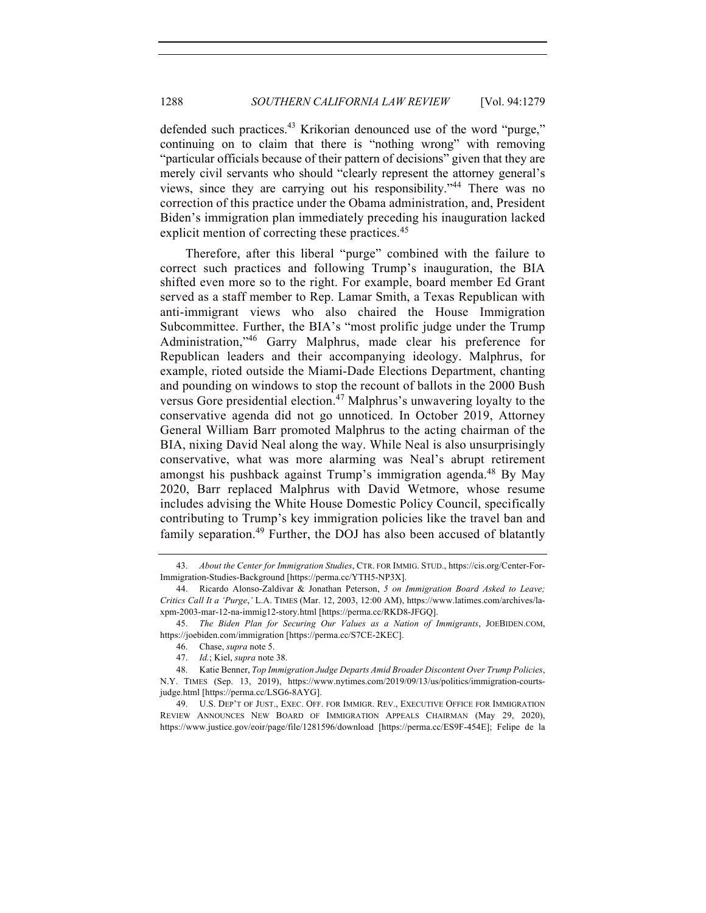defended such practices.<sup>43</sup> Krikorian denounced use of the word "purge," continuing on to claim that there is "nothing wrong" with removing "particular officials because of their pattern of decisions" given that they are merely civil servants who should "clearly represent the attorney general's views, since they are carrying out his responsibility."<sup>44</sup> There was no correction of this practice under the Obama administration, and, President Biden's immigration plan immediately preceding his inauguration lacked explicit mention of correcting these practices.<sup>45</sup>

Therefore, after this liberal "purge" combined with the failure to correct such practices and following Trump's inauguration, the BIA shifted even more so to the right. For example, board member Ed Grant served as a staff member to Rep. Lamar Smith, a Texas Republican with anti-immigrant views who also chaired the House Immigration Subcommittee. Further, the BIA's "most prolific judge under the Trump Administration,"<sup>46</sup> Garry Malphrus, made clear his preference for Republican leaders and their accompanying ideology. Malphrus, for example, rioted outside the Miami-Dade Elections Department, chanting and pounding on windows to stop the recount of ballots in the 2000 Bush versus Gore presidential election.<sup>47</sup> Malphrus's unwavering loyalty to the conservative agenda did not go unnoticed. In October 2019, Attorney General William Barr promoted Malphrus to the acting chairman of the BIA, nixing David Neal along the way. While Neal is also unsurprisingly conservative, what was more alarming was Neal's abrupt retirement amongst his pushback against Trump's immigration agenda.<sup>48</sup> By May 2020, Barr replaced Malphrus with David Wetmore, whose resume includes advising the White House Domestic Policy Council, specifically contributing to Trump's key immigration policies like the travel ban and family separation.<sup>49</sup> Further, the DOJ has also been accused of blatantly

<sup>43.</sup> *About the Center for Immigration Studies*, CTR. FOR IMMIG. STUD., https://cis.org/Center-For-Immigration-Studies-Background [https://perma.cc/YTH5-NP3X].

<sup>44.</sup> Ricardo Alonso-Zaldivar & Jonathan Peterson, *5 on Immigration Board Asked to Leave; Critics Call It a 'Purge*,*'* L.A. TIMES (Mar. 12, 2003, 12:00 AM), https://www.latimes.com/archives/laxpm-2003-mar-12-na-immig12-story.html [https://perma.cc/RKD8-JFGQ].

<sup>45.</sup> *The Biden Plan for Securing Our Values as a Nation of Immigrants*, JOEBIDEN.COM, https://joebiden.com/immigration [https://perma.cc/S7CE-2KEC].

<sup>46.</sup> Chase, *supra* note 5.

<sup>47.</sup> *Id.*; Kiel, *supra* note 38.

<sup>48.</sup> Katie Benner, *Top Immigration Judge Departs Amid Broader Discontent Over Trump Policies*, N.Y. TIMES (Sep. 13, 2019), https://www.nytimes.com/2019/09/13/us/politics/immigration-courtsjudge.html [https://perma.cc/LSG6-8AYG].

<sup>49.</sup> U.S. DEP'T OF JUST., EXEC. OFF. FOR IMMIGR. REV., EXECUTIVE OFFICE FOR IMMIGRATION REVIEW ANNOUNCES NEW BOARD OF IMMIGRATION APPEALS CHAIRMAN (May 29, 2020), https://www.justice.gov/eoir/page/file/1281596/download [https://perma.cc/ES9F-454E]; Felipe de la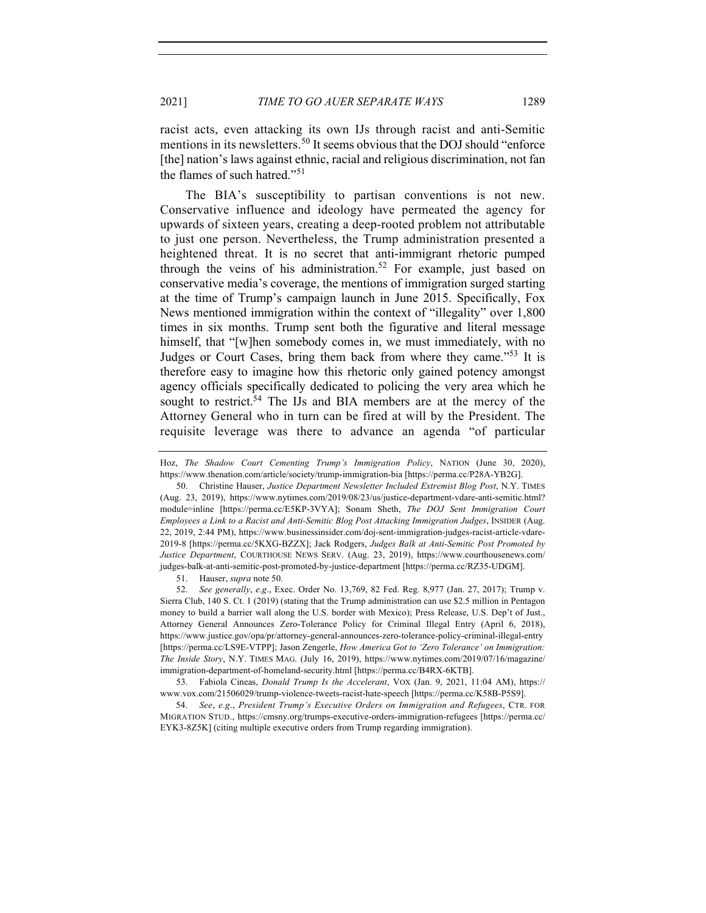racist acts, even attacking its own IJs through racist and anti-Semitic mentions in its newsletters.<sup>50</sup> It seems obvious that the DOJ should "enforce" [the] nation's laws against ethnic, racial and religious discrimination, not fan the flames of such hatred."<sup>51</sup>

The BIA's susceptibility to partisan conventions is not new. Conservative influence and ideology have permeated the agency for upwards of sixteen years, creating a deep-rooted problem not attributable to just one person. Nevertheless, the Trump administration presented a heightened threat. It is no secret that anti-immigrant rhetoric pumped through the veins of his administration.<sup>52</sup> For example, just based on conservative media's coverage, the mentions of immigration surged starting at the time of Trump's campaign launch in June 2015. Specifically, Fox News mentioned immigration within the context of "illegality" over 1,800 times in six months. Trump sent both the figurative and literal message himself, that "[w]hen somebody comes in, we must immediately, with no Judges or Court Cases, bring them back from where they came."53 It is therefore easy to imagine how this rhetoric only gained potency amongst agency officials specifically dedicated to policing the very area which he sought to restrict.<sup>54</sup> The IJs and BIA members are at the mercy of the Attorney General who in turn can be fired at will by the President. The requisite leverage was there to advance an agenda "of particular

51. Hauser, *supra* note 50.

52. *See generally*, *e*.*g*., Exec. Order No. 13,769, 82 Fed. Reg. 8,977 (Jan. 27, 2017); Trump v. Sierra Club, 140 S. Ct. 1 (2019) (stating that the Trump administration can use \$2.5 million in Pentagon money to build a barrier wall along the U.S. border with Mexico); Press Release, U.S. Dep't of Just., Attorney General Announces Zero-Tolerance Policy for Criminal Illegal Entry (April 6, 2018), https://www.justice.gov/opa/pr/attorney-general-announces-zero-tolerance-policy-criminal-illegal-entry [https://perma.cc/LS9E-VTPP]; Jason Zengerle, *How America Got to 'Zero Tolerance' on Immigration: The Inside Story*, N.Y. TIMES MAG. (July 16, 2019), https://www.nytimes.com/2019/07/16/magazine/ immigration-department-of-homeland-security.html [https://perma.cc/B4RX-6KTB].

53. Fabiola Cineas, *Donald Trump Is the Accelerant*, VOX (Jan. 9, 2021, 11:04 AM), https:// www.vox.com/21506029/trump-violence-tweets-racist-hate-speech [https://perma.cc/K58B-P5S9].

54. *See*, *e*.*g*., *President Trump's Executive Orders on Immigration and Refugees*, CTR. FOR MIGRATION STUD., https://cmsny.org/trumps-executive-orders-immigration-refugees [https://perma.cc/ EYK3-8Z5K] (citing multiple executive orders from Trump regarding immigration).

Hoz, *The Shadow Court Cementing Trump's Immigration Policy*, NATION (June 30, 2020), https://www.thenation.com/article/society/trump-immigration-bia [https://perma.cc/P28A-YB2G].

<sup>50.</sup> Christine Hauser, *Justice Department Newsletter Included Extremist Blog Post*, N.Y. TIMES (Aug. 23, 2019), https://www.nytimes.com/2019/08/23/us/justice-department-vdare-anti-semitic.html? module=inline [https://perma.cc/E5KP-3VYA]; Sonam Sheth, *The DOJ Sent Immigration Court Employees a Link to a Racist and Anti-Semitic Blog Post Attacking Immigration Judges*, INSIDER (Aug. 22, 2019, 2:44 PM), https://www.businessinsider.com/doj-sent-immigration-judges-racist-article-vdare-2019-8 [https://perma.cc/5KXG-BZZX]; Jack Rodgers, *Judges Balk at Anti-Semitic Post Promoted by Justice Department*, COURTHOUSE NEWS SERV. (Aug. 23, 2019), https://www.courthousenews.com/ judges-balk-at-anti-semitic-post-promoted-by-justice-department [https://perma.cc/RZ35-UDGM].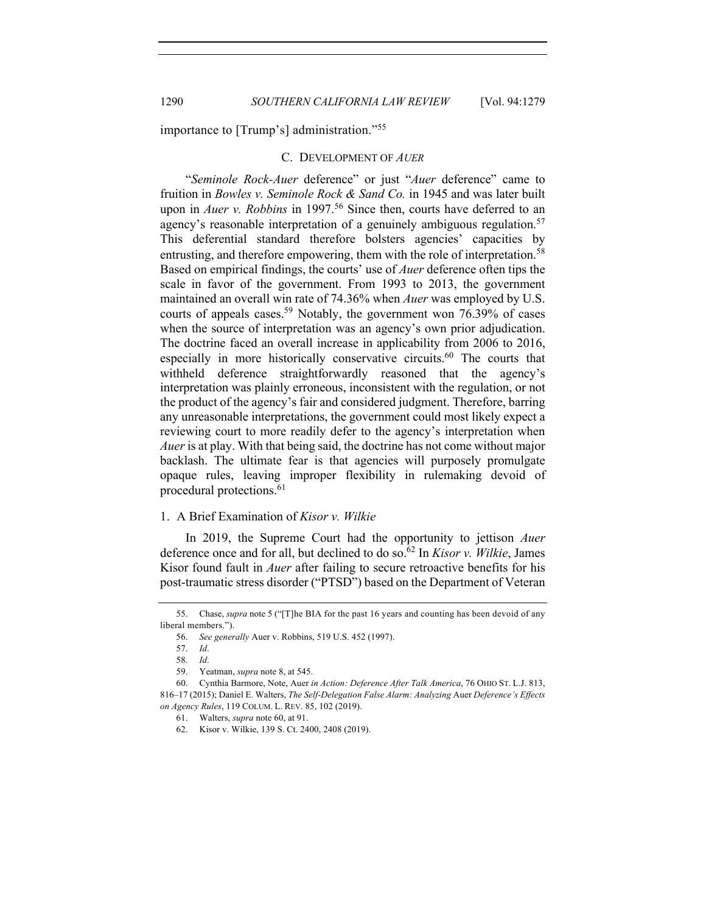importance to [Trump's] administration."<sup>55</sup>

#### C. DEVELOPMENT OF *AUER*

"*Seminole Rock-Auer* deference" or just "*Auer* deference" came to fruition in *Bowles v. Seminole Rock & Sand Co.* in 1945 and was later built upon in *Auer v. Robbins* in 1997.<sup>56</sup> Since then, courts have deferred to an agency's reasonable interpretation of a genuinely ambiguous regulation.<sup>57</sup> This deferential standard therefore bolsters agencies' capacities by entrusting, and therefore empowering, them with the role of interpretation.<sup>58</sup> Based on empirical findings, the courts' use of *Auer* deference often tips the scale in favor of the government. From 1993 to 2013, the government maintained an overall win rate of 74.36% when *Auer* was employed by U.S. courts of appeals cases.<sup>59</sup> Notably, the government won 76.39% of cases when the source of interpretation was an agency's own prior adjudication. The doctrine faced an overall increase in applicability from 2006 to 2016, especially in more historically conservative circuits.<sup>60</sup> The courts that withheld deference straightforwardly reasoned that the agency's interpretation was plainly erroneous, inconsistent with the regulation, or not the product of the agency's fair and considered judgment. Therefore, barring any unreasonable interpretations, the government could most likely expect a reviewing court to more readily defer to the agency's interpretation when *Auer* is at play. With that being said, the doctrine has not come without major backlash. The ultimate fear is that agencies will purposely promulgate opaque rules, leaving improper flexibility in rulemaking devoid of procedural protections.<sup>61</sup>

#### 1. A Brief Examination of *Kisor v. Wilkie*

In 2019, the Supreme Court had the opportunity to jettison *Auer*  deference once and for all, but declined to do so.62 In *Kisor v. Wilkie*, James Kisor found fault in *Auer* after failing to secure retroactive benefits for his post-traumatic stress disorder ("PTSD") based on the Department of Veteran

<sup>55.</sup> Chase, *supra* note 5 ("[T]he BIA for the past 16 years and counting has been devoid of any liberal members.").

<sup>56.</sup> *See generally* Auer v. Robbins, 519 U.S. 452 (1997).

<sup>57.</sup> *Id*.

<sup>58.</sup> *Id*.

<sup>59.</sup> Yeatman, *supra* note 8, at 545.

<sup>60.</sup> Cynthia Barmore, Note, Auer *in Action: Deference After Talk America*, 76 OHIO ST. L.J. 813, 816–17 (2015); Daniel E. Walters, *The Self-Delegation False Alarm: Analyzing* Auer *Deference's Effects on Agency Rules*, 119 COLUM. L. REV. 85, 102 (2019).

<sup>61.</sup> Walters, *supra* note 60, at 91.

<sup>62.</sup> Kisor v. Wilkie, 139 S. Ct. 2400, 2408 (2019).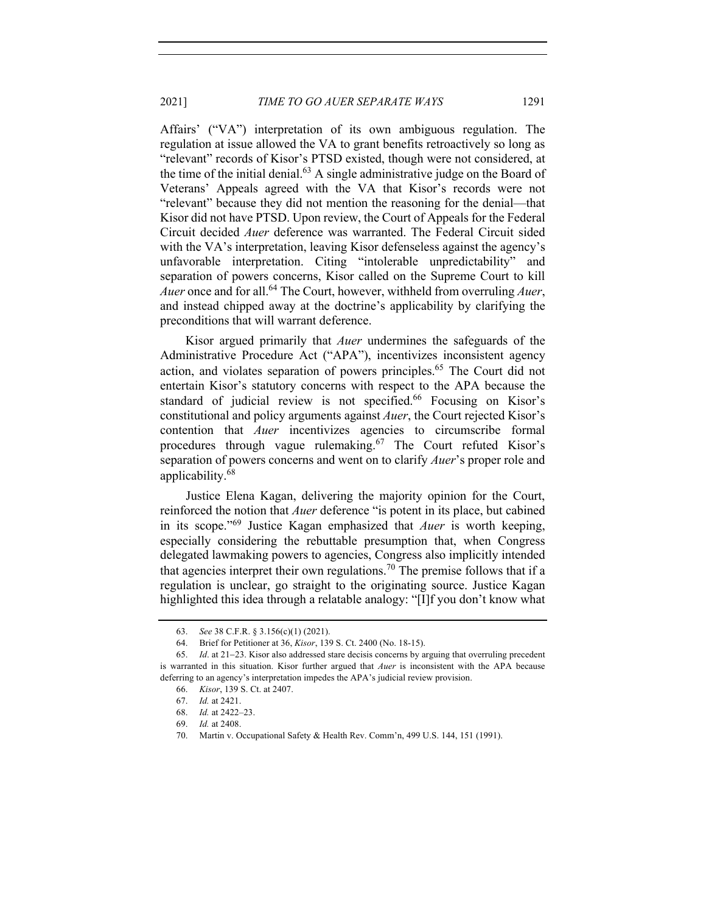Affairs' ("VA") interpretation of its own ambiguous regulation. The regulation at issue allowed the VA to grant benefits retroactively so long as "relevant" records of Kisor's PTSD existed, though were not considered, at the time of the initial denial. $63$  A single administrative judge on the Board of Veterans' Appeals agreed with the VA that Kisor's records were not "relevant" because they did not mention the reasoning for the denial—that Kisor did not have PTSD. Upon review, the Court of Appeals for the Federal Circuit decided *Auer* deference was warranted. The Federal Circuit sided with the VA's interpretation, leaving Kisor defenseless against the agency's unfavorable interpretation. Citing "intolerable unpredictability" and separation of powers concerns, Kisor called on the Supreme Court to kill *Auer* once and for all.<sup>64</sup> The Court, however, withheld from overruling *Auer*, and instead chipped away at the doctrine's applicability by clarifying the preconditions that will warrant deference.

Kisor argued primarily that *Auer* undermines the safeguards of the Administrative Procedure Act ("APA"), incentivizes inconsistent agency action, and violates separation of powers principles.<sup>65</sup> The Court did not entertain Kisor's statutory concerns with respect to the APA because the standard of judicial review is not specified.<sup>66</sup> Focusing on Kisor's constitutional and policy arguments against *Auer*, the Court rejected Kisor's contention that *Auer* incentivizes agencies to circumscribe formal procedures through vague rulemaking.<sup>67</sup> The Court refuted Kisor's separation of powers concerns and went on to clarify *Auer*'s proper role and applicability.<sup>68</sup>

Justice Elena Kagan, delivering the majority opinion for the Court, reinforced the notion that *Auer* deference "is potent in its place, but cabined in its scope."<sup>69</sup> Justice Kagan emphasized that *Auer* is worth keeping, especially considering the rebuttable presumption that, when Congress delegated lawmaking powers to agencies, Congress also implicitly intended that agencies interpret their own regulations.<sup>70</sup> The premise follows that if a regulation is unclear, go straight to the originating source. Justice Kagan highlighted this idea through a relatable analogy: "[I]f you don't know what

<sup>63.</sup> *See* 38 C.F.R. § 3.156(c)(1) (2021).

<sup>64.</sup> Brief for Petitioner at 36, *Kisor*, 139 S. Ct. 2400 (No. 18-15).

<sup>65.</sup> *Id*. at 21-23. Kisor also addressed stare decisis concerns by arguing that overruling precedent is warranted in this situation. Kisor further argued that *Auer* is inconsistent with the APA because deferring to an agency's interpretation impedes the APA's judicial review provision.

<sup>66.</sup> *Kisor*, 139 S. Ct. at 2407.

<sup>67.</sup> *Id.* at 2421.

<sup>68.</sup> *Id.* at 2422–23.

<sup>69.</sup> *Id.* at 2408.

<sup>70.</sup> Martin v. Occupational Safety & Health Rev. Comm'n, 499 U.S. 144, 151 (1991).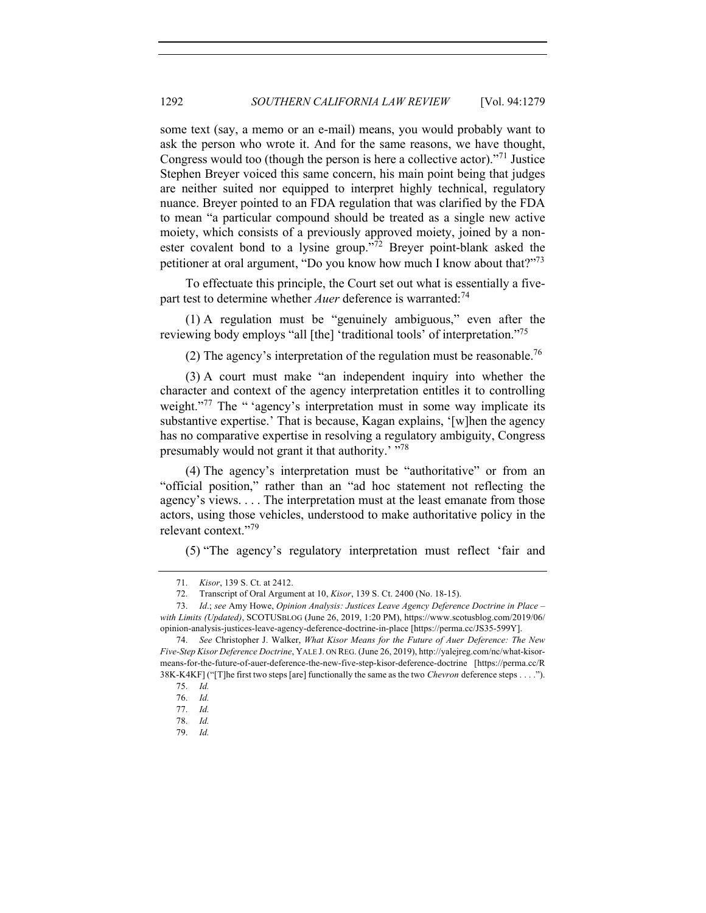some text (say, a memo or an e-mail) means, you would probably want to ask the person who wrote it. And for the same reasons, we have thought, Congress would too (though the person is here a collective actor)."<sup>71</sup> Justice Stephen Breyer voiced this same concern, his main point being that judges are neither suited nor equipped to interpret highly technical, regulatory nuance. Breyer pointed to an FDA regulation that was clarified by the FDA to mean "a particular compound should be treated as a single new active moiety, which consists of a previously approved moiety, joined by a nonester covalent bond to a lysine group."<sup>72</sup> Breyer point-blank asked the petitioner at oral argument, "Do you know how much I know about that?"73

To effectuate this principle, the Court set out what is essentially a fivepart test to determine whether *Auer* deference is warranted:<sup>74</sup>

(1) A regulation must be "genuinely ambiguous," even after the reviewing body employs "all [the] 'traditional tools' of interpretation."75

(2) The agency's interpretation of the regulation must be reasonable.<sup>76</sup>

(3) A court must make "an independent inquiry into whether the character and context of the agency interpretation entitles it to controlling weight."<sup>77</sup> The " 'agency's interpretation must in some way implicate its substantive expertise.' That is because, Kagan explains, '[w]hen the agency has no comparative expertise in resolving a regulatory ambiguity, Congress presumably would not grant it that authority.'  $\frac{1}{2}$ <sup>78</sup>

(4) The agency's interpretation must be "authoritative" or from an "official position," rather than an "ad hoc statement not reflecting the agency's views. . . . The interpretation must at the least emanate from those actors, using those vehicles, understood to make authoritative policy in the relevant context."<sup>79</sup>

(5) "The agency's regulatory interpretation must reflect 'fair and

<sup>71.</sup> *Kisor*, 139 S. Ct. at 2412.

<sup>72.</sup> Transcript of Oral Argument at 10, *Kisor*, 139 S. Ct. 2400 (No. 18-15).

<sup>73.</sup> *Id*.; *see* Amy Howe, *Opinion Analysis: Justices Leave Agency Deference Doctrine in Place – with Limits (Updated)*, SCOTUSBLOG (June 26, 2019, 1:20 PM), https://www.scotusblog.com/2019/06/ opinion-analysis-justices-leave-agency-deference-doctrine-in-place [https://perma.cc/JS35-599Y].

<sup>74.</sup> *See* Christopher J. Walker, *What Kisor Means for the Future of Auer Deference: The New Five-Step Kisor Deference Doctrine*, YALE J. ON REG. (June 26, 2019), http://yalejreg.com/nc/what-kisormeans-for-the-future-of-auer-deference-the-new-five-step-kisor-deference-doctrine [https://perma.cc/R 38K-K4KF] ("[T]he first two steps [are] functionally the same as the two *Chevron* deference steps . . . .").

<sup>75.</sup> *Id.*

<sup>76.</sup> *Id.*

<sup>77.</sup> *Id.*

<sup>78.</sup> *Id.*

<sup>79.</sup> *Id.*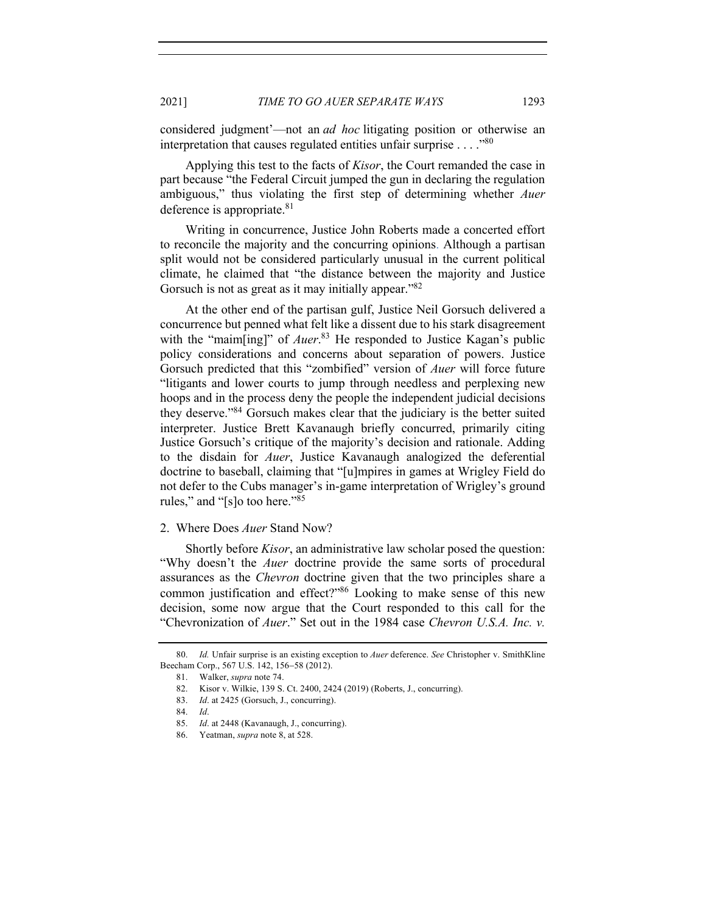considered judgment'—not an *ad hoc* litigating position or otherwise an interpretation that causes regulated entities unfair surprise  $\dots$ ."<sup>80</sup>

Applying this test to the facts of *Kisor*, the Court remanded the case in part because "the Federal Circuit jumped the gun in declaring the regulation ambiguous," thus violating the first step of determining whether *Auer* deference is appropriate. $81$ 

Writing in concurrence, Justice John Roberts made a concerted effort to reconcile the majority and the concurring opinions. Although a partisan split would not be considered particularly unusual in the current political climate, he claimed that "the distance between the majority and Justice Gorsuch is not as great as it may initially appear."<sup>82</sup>

At the other end of the partisan gulf, Justice Neil Gorsuch delivered a concurrence but penned what felt like a dissent due to his stark disagreement with the "maim[ing]" of *Auer*.<sup>83</sup> He responded to Justice Kagan's public policy considerations and concerns about separation of powers. Justice Gorsuch predicted that this "zombified" version of *Auer* will force future "litigants and lower courts to jump through needless and perplexing new hoops and in the process deny the people the independent judicial decisions they deserve."84 Gorsuch makes clear that the judiciary is the better suited interpreter. Justice Brett Kavanaugh briefly concurred, primarily citing Justice Gorsuch's critique of the majority's decision and rationale. Adding to the disdain for *Auer*, Justice Kavanaugh analogized the deferential doctrine to baseball, claiming that "[u]mpires in games at Wrigley Field do not defer to the Cubs manager's in-game interpretation of Wrigley's ground rules," and "[s]o too here."<sup>85</sup>

#### 2. Where Does *Auer* Stand Now?

Shortly before *Kisor*, an administrative law scholar posed the question: "Why doesn't the *Auer* doctrine provide the same sorts of procedural assurances as the *Chevron* doctrine given that the two principles share a common justification and effect?"86 Looking to make sense of this new decision, some now argue that the Court responded to this call for the "Chevronization of *Auer*." Set out in the 1984 case *Chevron U.S.A. Inc. v.*

<sup>80.</sup> *Id.* Unfair surprise is an existing exception to *Auer* deference. *See* Christopher v. SmithKline Beecham Corp., 567 U.S. 142, 156-58 (2012).

<sup>81.</sup> Walker, *supra* note 74.

<sup>82.</sup> Kisor v. Wilkie, 139 S. Ct. 2400, 2424 (2019) (Roberts, J., concurring).

<sup>83.</sup> *Id*. at 2425 (Gorsuch, J., concurring).

<sup>84.</sup> *Id*.

<sup>85.</sup> *Id*. at 2448 (Kavanaugh, J., concurring).

<sup>86.</sup> Yeatman, *supra* note 8, at 528.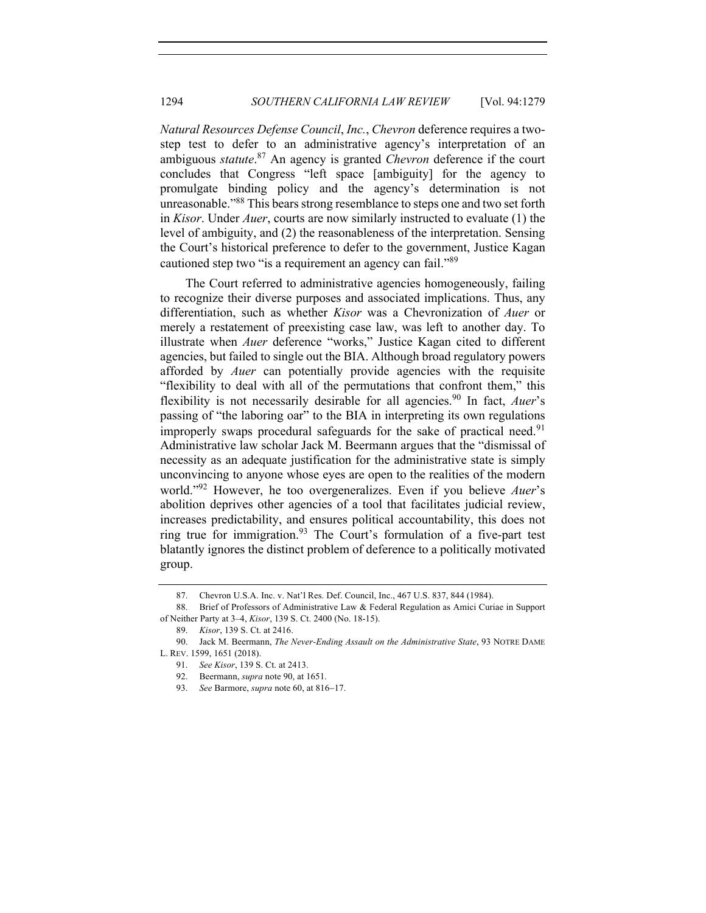*Natural Resources Defense Council*, *Inc.*, *Chevron* deference requires a twostep test to defer to an administrative agency's interpretation of an ambiguous *statute*. <sup>87</sup> An agency is granted *Chevron* deference if the court concludes that Congress "left space [ambiguity] for the agency to promulgate binding policy and the agency's determination is not unreasonable."<sup>88</sup> This bears strong resemblance to steps one and two set forth in *Kisor*. Under *Auer*, courts are now similarly instructed to evaluate (1) the level of ambiguity, and (2) the reasonableness of the interpretation. Sensing the Court's historical preference to defer to the government, Justice Kagan cautioned step two "is a requirement an agency can fail."<sup>89</sup>

The Court referred to administrative agencies homogeneously, failing to recognize their diverse purposes and associated implications. Thus, any differentiation, such as whether *Kisor* was a Chevronization of *Auer* or merely a restatement of preexisting case law, was left to another day. To illustrate when *Auer* deference "works," Justice Kagan cited to different agencies, but failed to single out the BIA. Although broad regulatory powers afforded by *Auer* can potentially provide agencies with the requisite "flexibility to deal with all of the permutations that confront them," this flexibility is not necessarily desirable for all agencies.<sup>90</sup> In fact, *Auer*'s passing of "the laboring oar" to the BIA in interpreting its own regulations improperly swaps procedural safeguards for the sake of practical need.<sup>91</sup> Administrative law scholar Jack M. Beermann argues that the "dismissal of necessity as an adequate justification for the administrative state is simply unconvincing to anyone whose eyes are open to the realities of the modern world."<sup>92</sup> However, he too overgeneralizes. Even if you believe *Auer*'s abolition deprives other agencies of a tool that facilitates judicial review, increases predictability, and ensures political accountability, this does not ring true for immigration.<sup>93</sup> The Court's formulation of a five-part test blatantly ignores the distinct problem of deference to a politically motivated group.

<sup>87.</sup> Chevron U.S.A. Inc. v. Nat'l Res. Def. Council, Inc., 467 U.S. 837, 844 (1984).

<sup>88.</sup> Brief of Professors of Administrative Law & Federal Regulation as Amici Curiae in Support of Neither Party at 3–4, *Kisor*, 139 S. Ct. 2400 (No. 18-15).

<sup>89.</sup> *Kisor*, 139 S. Ct. at 2416.

<sup>90.</sup> Jack M. Beermann, *The Never-Ending Assault on the Administrative State*, 93 NOTRE DAME L. REV. 1599, 1651 (2018).

<sup>91.</sup> *See Kisor*, 139 S. Ct. at 2413.

<sup>92.</sup> Beermann, *supra* note 90, at 1651.

<sup>93.</sup> *See* Barmore, *supra* note 60, at 816-17.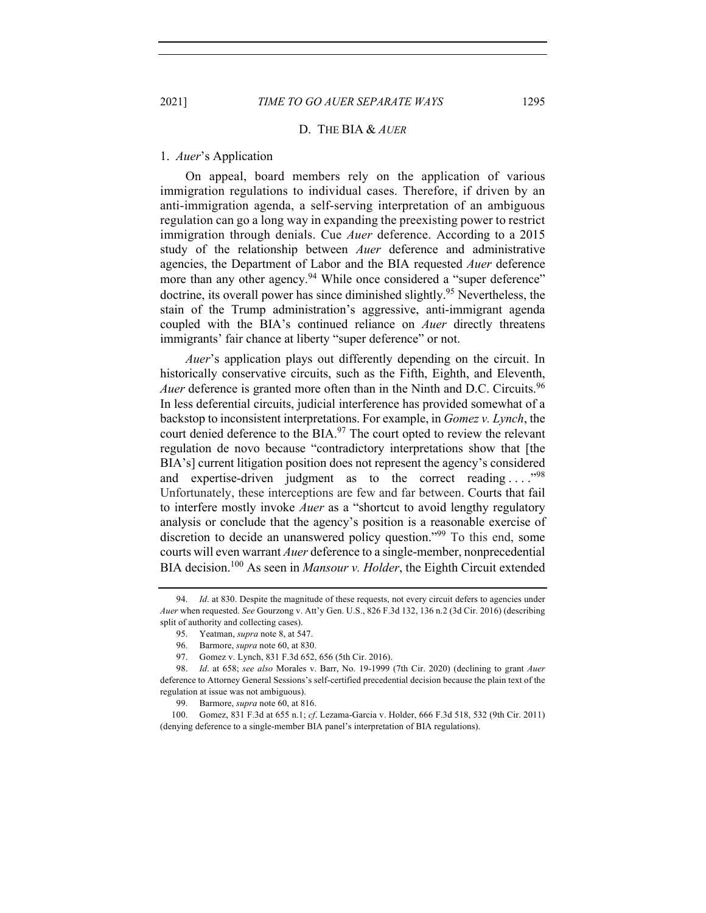#### D. THE BIA & *AUER*

## 1. *Auer*'s Application

On appeal, board members rely on the application of various immigration regulations to individual cases. Therefore, if driven by an anti-immigration agenda, a self-serving interpretation of an ambiguous regulation can go a long way in expanding the preexisting power to restrict immigration through denials. Cue *Auer* deference. According to a 2015 study of the relationship between *Auer* deference and administrative agencies, the Department of Labor and the BIA requested *Auer* deference more than any other agency.<sup>94</sup> While once considered a "super deference" doctrine, its overall power has since diminished slightly.95 Nevertheless, the stain of the Trump administration's aggressive, anti-immigrant agenda coupled with the BIA's continued reliance on *Auer* directly threatens immigrants' fair chance at liberty "super deference" or not.

*Auer*'s application plays out differently depending on the circuit. In historically conservative circuits, such as the Fifth, Eighth, and Eleventh, *Auer* deference is granted more often than in the Ninth and D.C. Circuits.<sup>96</sup> In less deferential circuits, judicial interference has provided somewhat of a backstop to inconsistent interpretations. For example, in *Gomez v. Lynch*, the court denied deference to the BIA. $97$  The court opted to review the relevant regulation de novo because "contradictory interpretations show that [the BIA's] current litigation position does not represent the agency's considered and expertise-driven judgment as to the correct reading ...."<sup>98</sup> Unfortunately, these interceptions are few and far between. Courts that fail to interfere mostly invoke *Auer* as a "shortcut to avoid lengthy regulatory analysis or conclude that the agency's position is a reasonable exercise of discretion to decide an unanswered policy question."99 To this end, some courts will even warrant *Auer* deference to a single-member, nonprecedential BIA decision.100 As seen in *Mansour v. Holder*, the Eighth Circuit extended

<sup>94.</sup> *Id*. at 830. Despite the magnitude of these requests, not every circuit defers to agencies under *Auer* when requested. *See* Gourzong v. Att'y Gen. U.S., 826 F.3d 132, 136 n.2 (3d Cir. 2016) (describing split of authority and collecting cases).

<sup>95.</sup> Yeatman, *supra* note 8, at 547.

<sup>96.</sup> Barmore, *supra* note 60, at 830.

<sup>97.</sup> Gomez v. Lynch, 831 F.3d 652, 656 (5th Cir. 2016).

<sup>98.</sup> *Id*. at 658; *see also* Morales v. Barr, No. 19-1999 (7th Cir. 2020) (declining to grant *Auer* deference to Attorney General Sessions's self-certified precedential decision because the plain text of the regulation at issue was not ambiguous).

<sup>99.</sup> Barmore, *supra* note 60, at 816.

<sup>100.</sup> Gomez, 831 F.3d at 655 n.1; *cf*. Lezama-Garcia v. Holder, 666 F.3d 518, 532 (9th Cir. 2011) (denying deference to a single-member BIA panel's interpretation of BIA regulations).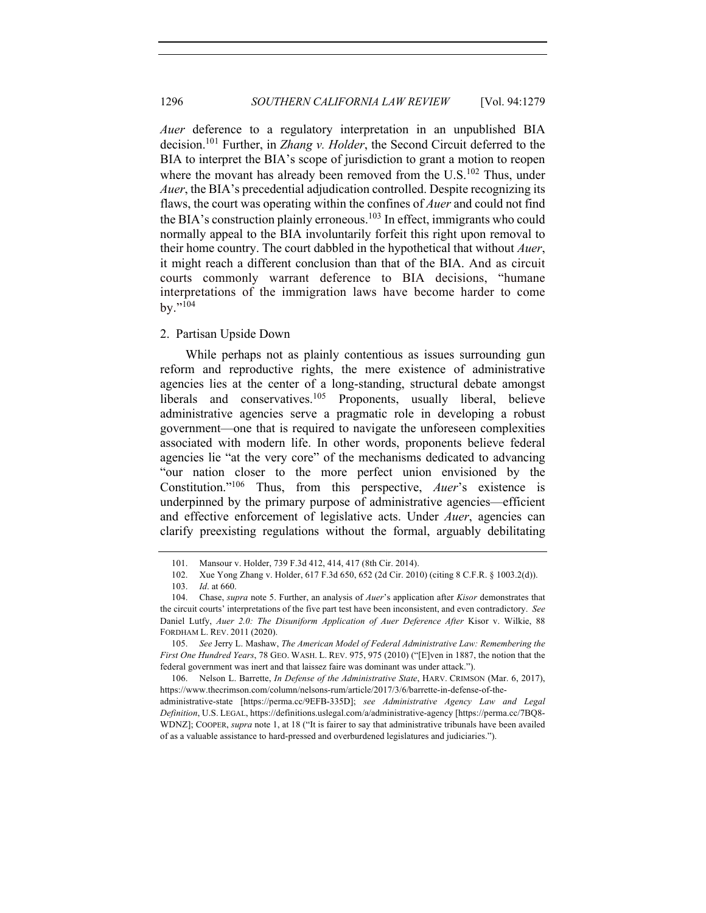*Auer* deference to a regulatory interpretation in an unpublished BIA decision.101 Further, in *Zhang v. Holder*, the Second Circuit deferred to the BIA to interpret the BIA's scope of jurisdiction to grant a motion to reopen where the movant has already been removed from the U.S.<sup>102</sup> Thus, under *Auer*, the BIA's precedential adjudication controlled. Despite recognizing its flaws, the court was operating within the confines of *Auer* and could not find the BIA's construction plainly erroneous.<sup>103</sup> In effect, immigrants who could normally appeal to the BIA involuntarily forfeit this right upon removal to their home country. The court dabbled in the hypothetical that without *Auer*, it might reach a different conclusion than that of the BIA. And as circuit courts commonly warrant deference to BIA decisions, "humane interpretations of the immigration laws have become harder to come  $bv.$ "<sup>104</sup>

## 2. Partisan Upside Down

While perhaps not as plainly contentious as issues surrounding gun reform and reproductive rights, the mere existence of administrative agencies lies at the center of a long-standing, structural debate amongst liberals and conservatives.<sup>105</sup> Proponents, usually liberal, believe administrative agencies serve a pragmatic role in developing a robust government—one that is required to navigate the unforeseen complexities associated with modern life. In other words, proponents believe federal agencies lie "at the very core" of the mechanisms dedicated to advancing "our nation closer to the more perfect union envisioned by the Constitution."106 Thus, from this perspective, *Auer*'s existence is underpinned by the primary purpose of administrative agencies—efficient and effective enforcement of legislative acts. Under *Auer*, agencies can clarify preexisting regulations without the formal, arguably debilitating

105. *See* Jerry L. Mashaw, *The American Model of Federal Administrative Law: Remembering the First One Hundred Years*, 78 GEO. WASH. L. REV. 975, 975 (2010) ("[E]ven in 1887, the notion that the federal government was inert and that laissez faire was dominant was under attack.").

106. Nelson L. Barrette, *In Defense of the Administrative State*, HARV. CRIMSON (Mar. 6, 2017), https://www.thecrimson.com/column/nelsons-rum/article/2017/3/6/barrette-in-defense-of-the-

administrative-state [https://perma.cc/9EFB-335D]; *see Administrative Agency Law and Legal Definition*, U.S. LEGAL, https://definitions.uslegal.com/a/administrative-agency [https://perma.cc/7BQ8- WDNZ]; COOPER, *supra* note 1, at 18 ("It is fairer to say that administrative tribunals have been availed of as a valuable assistance to hard-pressed and overburdened legislatures and judiciaries.").

<sup>101.</sup> Mansour v. Holder, 739 F.3d 412, 414, 417 (8th Cir. 2014).

<sup>102.</sup> Xue Yong Zhang v. Holder, 617 F.3d 650, 652 (2d Cir. 2010) (citing 8 C.F.R. § 1003.2(d)).

<sup>103.</sup> *Id*. at 660.

<sup>104.</sup> Chase, *supra* note 5. Further, an analysis of *Auer*'s application after *Kisor* demonstrates that the circuit courts' interpretations of the five part test have been inconsistent, and even contradictory. *See* Daniel Lutfy, *Auer 2.0: The Disuniform Application of Auer Deference After* Kisor v. Wilkie, 88 FORDHAM L. REV. 2011 (2020).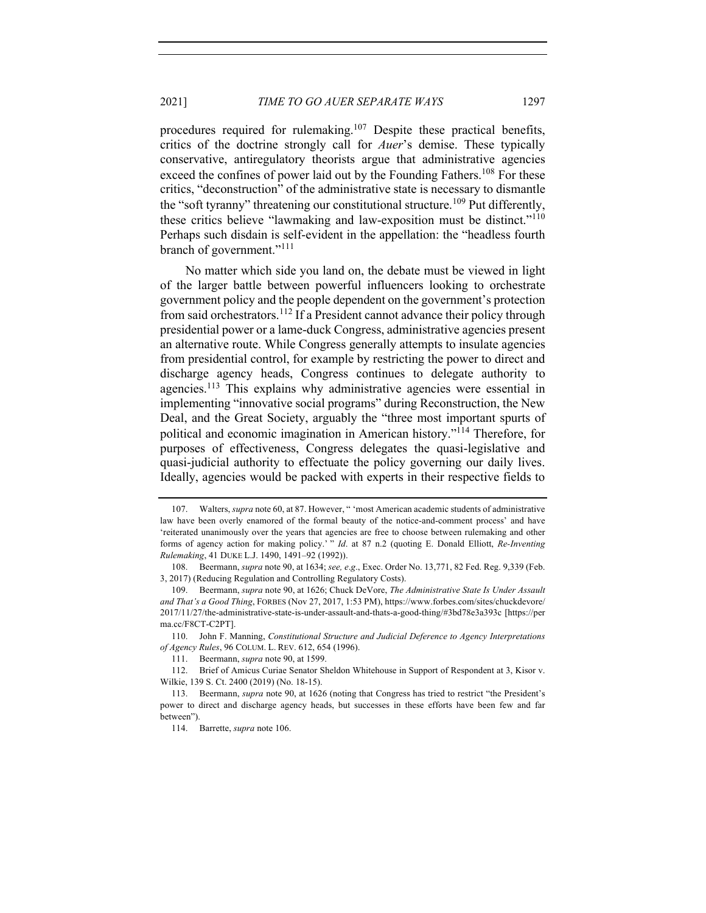procedures required for rulemaking.<sup>107</sup> Despite these practical benefits, critics of the doctrine strongly call for *Auer*'s demise. These typically conservative, antiregulatory theorists argue that administrative agencies exceed the confines of power laid out by the Founding Fathers.<sup>108</sup> For these critics, "deconstruction" of the administrative state is necessary to dismantle the "soft tyranny" threatening our constitutional structure.<sup>109</sup> Put differently, these critics believe "lawmaking and law-exposition must be distinct."<sup>110</sup> Perhaps such disdain is self-evident in the appellation: the "headless fourth branch of government."<sup>111</sup>

No matter which side you land on, the debate must be viewed in light of the larger battle between powerful influencers looking to orchestrate government policy and the people dependent on the government's protection from said orchestrators.<sup>112</sup> If a President cannot advance their policy through presidential power or a lame-duck Congress, administrative agencies present an alternative route. While Congress generally attempts to insulate agencies from presidential control, for example by restricting the power to direct and discharge agency heads, Congress continues to delegate authority to agencies.113 This explains why administrative agencies were essential in implementing "innovative social programs" during Reconstruction, the New Deal, and the Great Society, arguably the "three most important spurts of political and economic imagination in American history."114 Therefore, for purposes of effectiveness, Congress delegates the quasi-legislative and quasi-judicial authority to effectuate the policy governing our daily lives. Ideally, agencies would be packed with experts in their respective fields to

110. John F. Manning, *Constitutional Structure and Judicial Deference to Agency Interpretations of Agency Rules*, 96 COLUM. L. REV. 612, 654 (1996).

<sup>107.</sup> Walters, *supra* note 60, at 87. However, " 'most American academic students of administrative law have been overly enamored of the formal beauty of the notice-and-comment process' and have 'reiterated unanimously over the years that agencies are free to choose between rulemaking and other forms of agency action for making policy.' " *Id*. at 87 n.2 (quoting E. Donald Elliott, *Re-Inventing Rulemaking*, 41 DUKE L.J. 1490, 1491–92 (1992)).

<sup>108.</sup> Beermann, *supra* note 90, at 1634; *see, e*.*g*., Exec. Order No. 13,771, 82 Fed. Reg. 9,339 (Feb. 3, 2017) (Reducing Regulation and Controlling Regulatory Costs).

<sup>109.</sup> Beermann, *supra* note 90, at 1626; Chuck DeVore, *The Administrative State Is Under Assault and That's a Good Thing*, FORBES (Nov 27, 2017, 1:53 PM), https://www.forbes.com/sites/chuckdevore/ 2017/11/27/the-administrative-state-is-under-assault-and-thats-a-good-thing/#3bd78e3a393c [https://per ma.cc/F8CT-C2PT].

<sup>111.</sup> Beermann, *supra* note 90, at 1599.

<sup>112.</sup> Brief of Amicus Curiae Senator Sheldon Whitehouse in Support of Respondent at 3, Kisor v. Wilkie, 139 S. Ct. 2400 (2019) (No. 18-15).

<sup>113.</sup> Beermann, *supra* note 90, at 1626 (noting that Congress has tried to restrict "the President's power to direct and discharge agency heads, but successes in these efforts have been few and far between").

<sup>114.</sup> Barrette, *supra* note 106.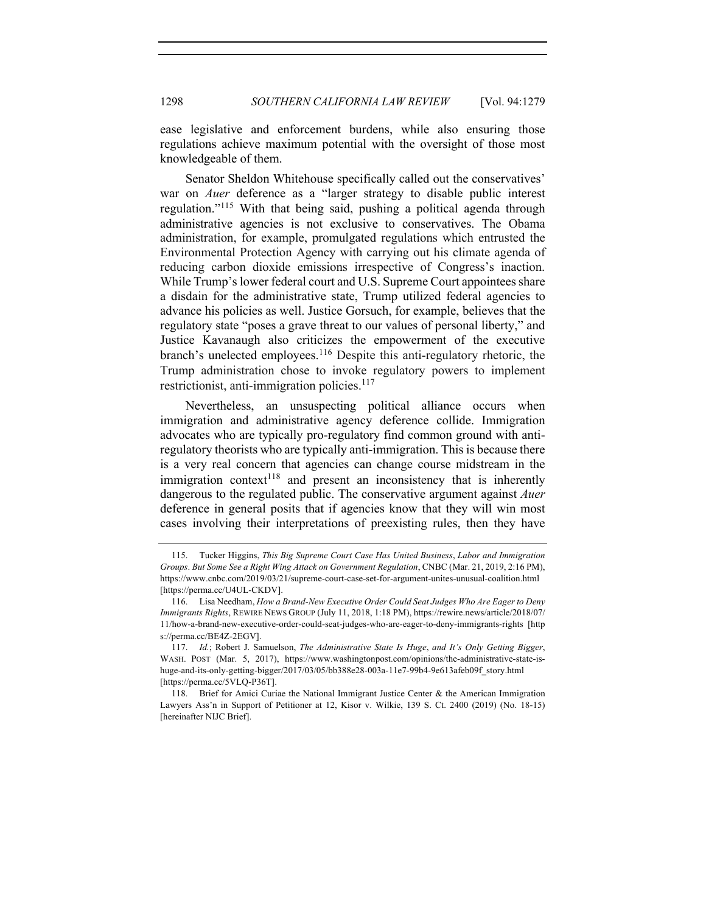ease legislative and enforcement burdens, while also ensuring those regulations achieve maximum potential with the oversight of those most knowledgeable of them.

Senator Sheldon Whitehouse specifically called out the conservatives' war on *Auer* deference as a "larger strategy to disable public interest regulation."<sup>115</sup> With that being said, pushing a political agenda through administrative agencies is not exclusive to conservatives. The Obama administration, for example, promulgated regulations which entrusted the Environmental Protection Agency with carrying out his climate agenda of reducing carbon dioxide emissions irrespective of Congress's inaction. While Trump's lower federal court and U.S. Supreme Court appointees share a disdain for the administrative state, Trump utilized federal agencies to advance his policies as well. Justice Gorsuch, for example, believes that the regulatory state "poses a grave threat to our values of personal liberty," and Justice Kavanaugh also criticizes the empowerment of the executive branch's unelected employees.<sup>116</sup> Despite this anti-regulatory rhetoric, the Trump administration chose to invoke regulatory powers to implement restrictionist, anti-immigration policies.<sup>117</sup>

Nevertheless, an unsuspecting political alliance occurs when immigration and administrative agency deference collide. Immigration advocates who are typically pro-regulatory find common ground with antiregulatory theorists who are typically anti-immigration. This is because there is a very real concern that agencies can change course midstream in the immigration context<sup>118</sup> and present an inconsistency that is inherently dangerous to the regulated public. The conservative argument against *Auer* deference in general posits that if agencies know that they will win most cases involving their interpretations of preexisting rules, then they have

<sup>115.</sup> Tucker Higgins, *This Big Supreme Court Case Has United Business*, *Labor and Immigration Groups*. *But Some See a Right Wing Attack on Government Regulation*, CNBC (Mar. 21, 2019, 2:16 PM), https://www.cnbc.com/2019/03/21/supreme-court-case-set-for-argument-unites-unusual-coalition.html [https://perma.cc/U4UL-CKDV].

<sup>116.</sup> Lisa Needham, *How a Brand-New Executive Order Could Seat Judges Who Are Eager to Deny Immigrants Rights*, REWIRE NEWS GROUP (July 11, 2018, 1:18 PM), https://rewire.news/article/2018/07/ 11/how-a-brand-new-executive-order-could-seat-judges-who-are-eager-to-deny-immigrants-rights [http s://perma.cc/BE4Z-2EGV].

<sup>117.</sup> *Id.*; Robert J. Samuelson, *The Administrative State Is Huge*, *and It's Only Getting Bigger*, WASH. POST (Mar. 5, 2017), https://www.washingtonpost.com/opinions/the-administrative-state-ishuge-and-its-only-getting-bigger/2017/03/05/bb388e28-003a-11e7-99b4-9e613afeb09f\_story.html [https://perma.cc/5VLQ-P36T].

<sup>118.</sup> Brief for Amici Curiae the National Immigrant Justice Center & the American Immigration Lawyers Ass'n in Support of Petitioner at 12, Kisor v. Wilkie, 139 S. Ct. 2400 (2019) (No. 18-15) [hereinafter NIJC Brief].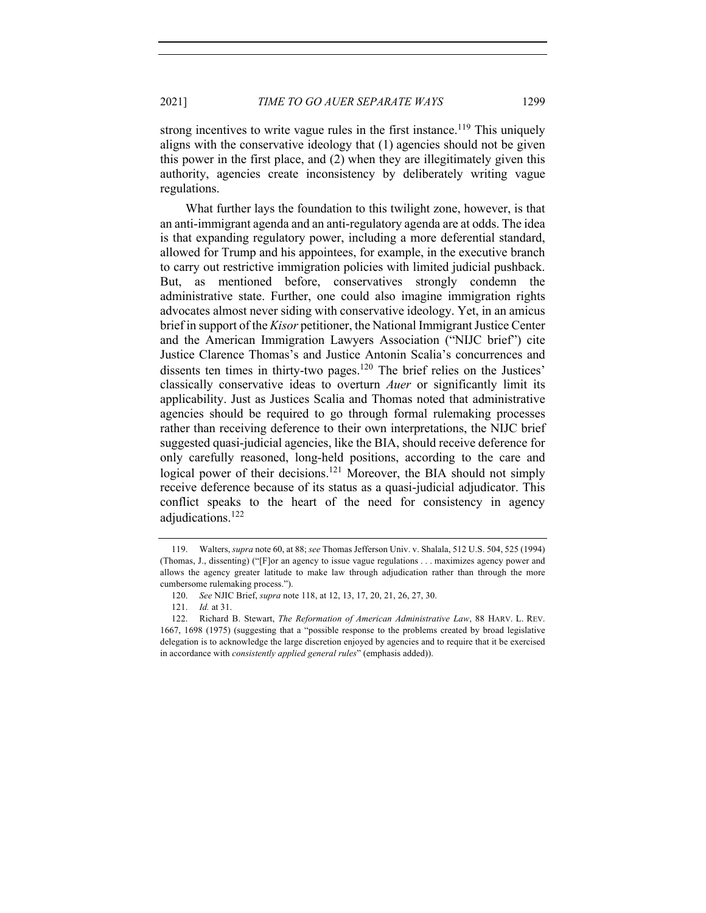strong incentives to write vague rules in the first instance.<sup>119</sup> This uniquely aligns with the conservative ideology that (1) agencies should not be given this power in the first place, and (2) when they are illegitimately given this authority, agencies create inconsistency by deliberately writing vague regulations.

What further lays the foundation to this twilight zone, however, is that an anti-immigrant agenda and an anti-regulatory agenda are at odds. The idea is that expanding regulatory power, including a more deferential standard, allowed for Trump and his appointees, for example, in the executive branch to carry out restrictive immigration policies with limited judicial pushback. But, as mentioned before, conservatives strongly condemn the administrative state. Further, one could also imagine immigration rights advocates almost never siding with conservative ideology. Yet, in an amicus brief in support of the *Kisor* petitioner, the National Immigrant Justice Center and the American Immigration Lawyers Association ("NIJC brief") cite Justice Clarence Thomas's and Justice Antonin Scalia's concurrences and dissents ten times in thirty-two pages.<sup>120</sup> The brief relies on the Justices' classically conservative ideas to overturn *Auer* or significantly limit its applicability. Just as Justices Scalia and Thomas noted that administrative agencies should be required to go through formal rulemaking processes rather than receiving deference to their own interpretations, the NIJC brief suggested quasi-judicial agencies, like the BIA, should receive deference for only carefully reasoned, long-held positions, according to the care and logical power of their decisions.<sup>121</sup> Moreover, the BIA should not simply receive deference because of its status as a quasi-judicial adjudicator. This conflict speaks to the heart of the need for consistency in agency adjudications.<sup>122</sup>

<sup>119.</sup> Walters, *supra* note 60, at 88; *see* Thomas Jefferson Univ. v. Shalala, 512 U.S. 504, 525 (1994) (Thomas, J., dissenting) ("[F]or an agency to issue vague regulations . . . maximizes agency power and allows the agency greater latitude to make law through adjudication rather than through the more cumbersome rulemaking process.").

<sup>120.</sup> *See* NJIC Brief, *supra* note 118, at 12, 13, 17, 20, 21, 26, 27, 30.

<sup>121.</sup> *Id.* at 31.

<sup>122.</sup> Richard B. Stewart, *The Reformation of American Administrative Law*, 88 HARV. L. REV. 1667, 1698 (1975) (suggesting that a "possible response to the problems created by broad legislative delegation is to acknowledge the large discretion enjoyed by agencies and to require that it be exercised in accordance with *consistently applied general rules*" (emphasis added)).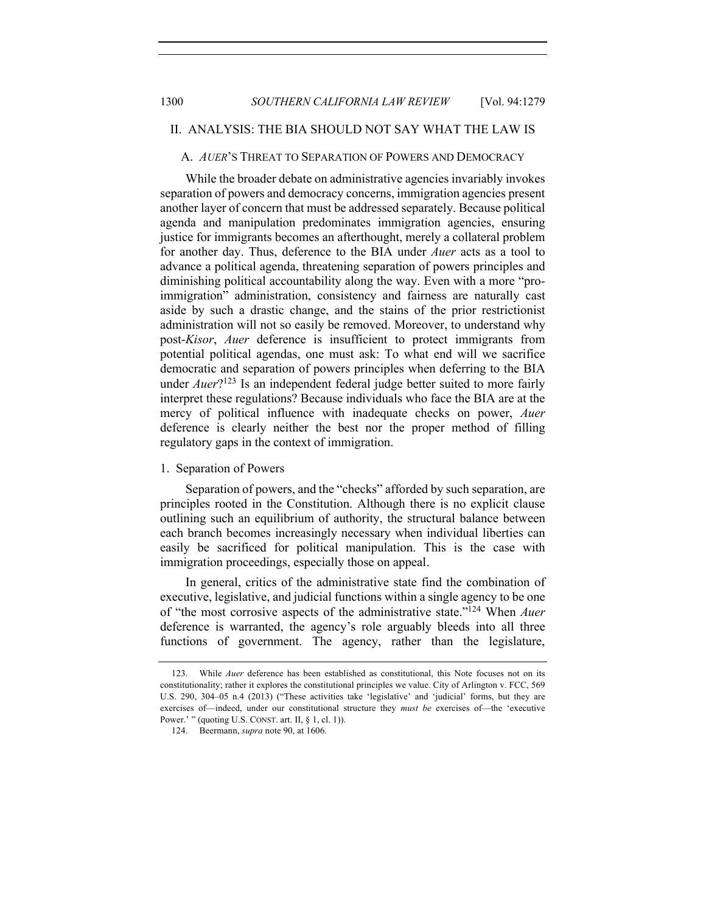## II. ANALYSIS: THE BIA SHOULD NOT SAY WHAT THE LAW IS

#### A. *AUER*'S THREAT TO SEPARATION OF POWERS AND DEMOCRACY

While the broader debate on administrative agencies invariably invokes separation of powers and democracy concerns, immigration agencies present another layer of concern that must be addressed separately. Because political agenda and manipulation predominates immigration agencies, ensuring justice for immigrants becomes an afterthought, merely a collateral problem for another day. Thus, deference to the BIA under *Auer* acts as a tool to advance a political agenda, threatening separation of powers principles and diminishing political accountability along the way. Even with a more "proimmigration" administration, consistency and fairness are naturally cast aside by such a drastic change, and the stains of the prior restrictionist administration will not so easily be removed. Moreover, to understand why post-*Kisor*, *Auer* deference is insufficient to protect immigrants from potential political agendas, one must ask: To what end will we sacrifice democratic and separation of powers principles when deferring to the BIA under *Auer*?<sup>123</sup> Is an independent federal judge better suited to more fairly interpret these regulations? Because individuals who face the BIA are at the mercy of political influence with inadequate checks on power, *Auer*  deference is clearly neither the best nor the proper method of filling regulatory gaps in the context of immigration.

## 1. Separation of Powers

Separation of powers, and the "checks" afforded by such separation, are principles rooted in the Constitution. Although there is no explicit clause outlining such an equilibrium of authority, the structural balance between each branch becomes increasingly necessary when individual liberties can easily be sacrificed for political manipulation. This is the case with immigration proceedings, especially those on appeal.

In general, critics of the administrative state find the combination of executive, legislative, and judicial functions within a single agency to be one of "the most corrosive aspects of the administrative state."124 When *Auer* deference is warranted, the agency's role arguably bleeds into all three functions of government. The agency, rather than the legislature,

<sup>123.</sup> While *Auer* deference has been established as constitutional, this Note focuses not on its constitutionality; rather it explores the constitutional principles we value. City of Arlington v. FCC, 569 U.S. 290, 304–05 n.4 (2013) ("These activities take 'legislative' and 'judicial' forms, but they are exercises of—indeed, under our constitutional structure they *must be* exercises of—the 'executive Power.' " (quoting U.S. CONST. art. II,  $\S$  1, cl. 1)).

<sup>124.</sup> Beermann, *supra* note 90, at 1606.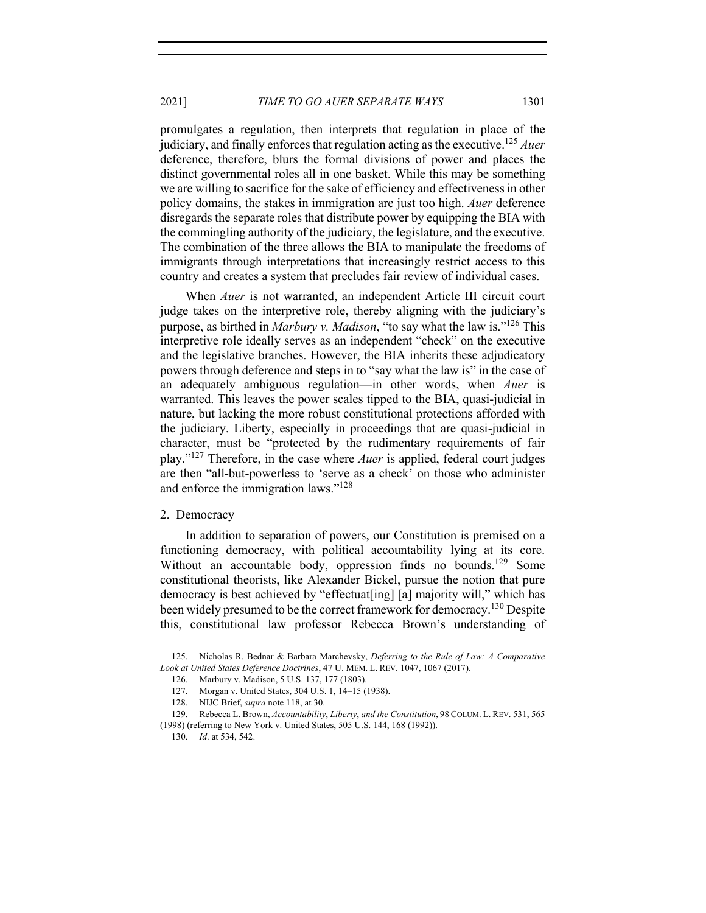2021] *TIME TO GO AUER SEPARATE WAYS* 1301

promulgates a regulation, then interprets that regulation in place of the judiciary, and finally enforces that regulation acting as the executive. <sup>125</sup> *Auer* deference, therefore, blurs the formal divisions of power and places the distinct governmental roles all in one basket. While this may be something we are willing to sacrifice for the sake of efficiency and effectiveness in other policy domains, the stakes in immigration are just too high. *Auer* deference disregards the separate roles that distribute power by equipping the BIA with the commingling authority of the judiciary, the legislature, and the executive. The combination of the three allows the BIA to manipulate the freedoms of immigrants through interpretations that increasingly restrict access to this country and creates a system that precludes fair review of individual cases.

When *Auer* is not warranted, an independent Article III circuit court judge takes on the interpretive role, thereby aligning with the judiciary's purpose, as birthed in *Marbury v. Madison*, "to say what the law is."126 This interpretive role ideally serves as an independent "check" on the executive and the legislative branches. However, the BIA inherits these adjudicatory powers through deference and steps in to "say what the law is" in the case of an adequately ambiguous regulation—in other words, when *Auer* is warranted. This leaves the power scales tipped to the BIA, quasi-judicial in nature, but lacking the more robust constitutional protections afforded with the judiciary. Liberty, especially in proceedings that are quasi-judicial in character, must be "protected by the rudimentary requirements of fair play."<sup>127</sup> Therefore, in the case where *Auer* is applied, federal court judges are then "all-but-powerless to 'serve as a check' on those who administer and enforce the immigration laws."128

## 2. Democracy

In addition to separation of powers, our Constitution is premised on a functioning democracy, with political accountability lying at its core. Without an accountable body, oppression finds no bounds.<sup>129</sup> Some constitutional theorists, like Alexander Bickel, pursue the notion that pure democracy is best achieved by "effectuat[ing] [a] majority will," which has been widely presumed to be the correct framework for democracy.<sup>130</sup> Despite this, constitutional law professor Rebecca Brown's understanding of

<sup>125.</sup> Nicholas R. Bednar & Barbara Marchevsky, *Deferring to the Rule of Law: A Comparative Look at United States Deference Doctrines*, 47 U. MEM. L. REV. 1047, 1067 (2017).

<sup>126.</sup> Marbury v. Madison, 5 U.S. 137, 177 (1803).

<sup>127.</sup> Morgan v. United States, 304 U.S. 1, 14–15 (1938).

<sup>128.</sup> NIJC Brief, *supra* note 118, at 30.

<sup>129.</sup> Rebecca L. Brown, *Accountability*, *Liberty*, *and the Constitution*, 98 COLUM. L. REV. 531, 565 (1998) (referring to New York v. United States, 505 U.S. 144, 168 (1992)).

<sup>130.</sup> *Id*. at 534, 542.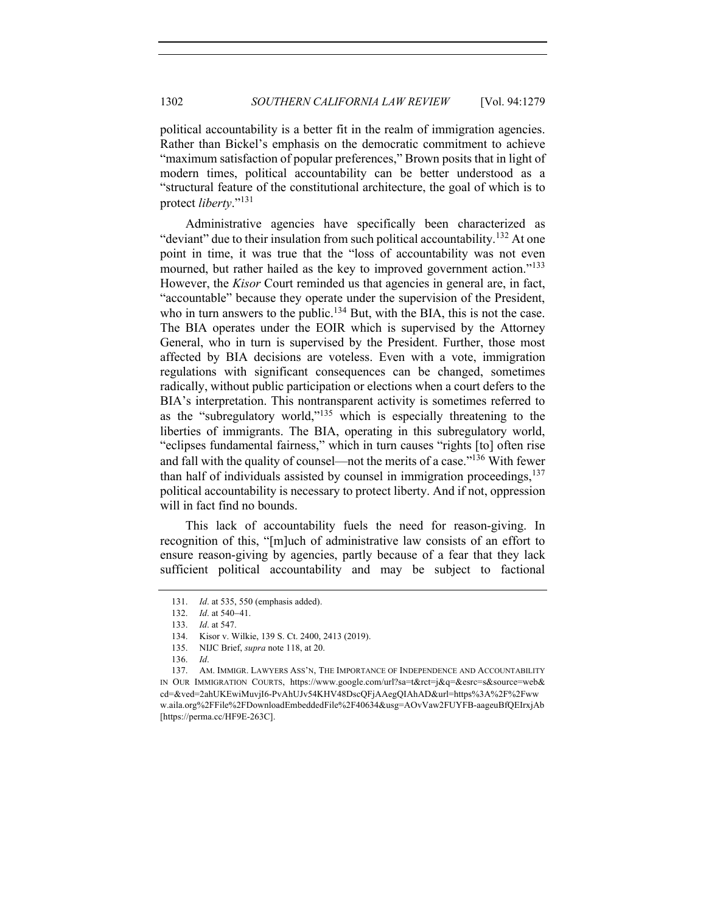political accountability is a better fit in the realm of immigration agencies. Rather than Bickel's emphasis on the democratic commitment to achieve "maximum satisfaction of popular preferences," Brown posits that in light of modern times, political accountability can be better understood as a "structural feature of the constitutional architecture, the goal of which is to protect *liberty*."131

Administrative agencies have specifically been characterized as "deviant" due to their insulation from such political accountability.<sup>132</sup> At one point in time, it was true that the "loss of accountability was not even mourned, but rather hailed as the key to improved government action."<sup>133</sup> However, the *Kisor* Court reminded us that agencies in general are, in fact, "accountable" because they operate under the supervision of the President, who in turn answers to the public.<sup>134</sup> But, with the BIA, this is not the case. The BIA operates under the EOIR which is supervised by the Attorney General, who in turn is supervised by the President. Further, those most affected by BIA decisions are voteless. Even with a vote, immigration regulations with significant consequences can be changed, sometimes radically, without public participation or elections when a court defers to the BIA's interpretation. This nontransparent activity is sometimes referred to as the "subregulatory world," $135$  which is especially threatening to the liberties of immigrants. The BIA, operating in this subregulatory world, "eclipses fundamental fairness," which in turn causes "rights [to] often rise and fall with the quality of counsel—not the merits of a case."<sup>136</sup> With fewer than half of individuals assisted by counsel in immigration proceedings, $137$ political accountability is necessary to protect liberty. And if not, oppression will in fact find no bounds.

This lack of accountability fuels the need for reason-giving. In recognition of this, "[m]uch of administrative law consists of an effort to ensure reason-giving by agencies, partly because of a fear that they lack sufficient political accountability and may be subject to factional

<sup>131.</sup> *Id*. at 535, 550 (emphasis added).

<sup>132.</sup> *Id*. at 540-41.

<sup>133.</sup> *Id*. at 547.

<sup>134.</sup> Kisor v. Wilkie, 139 S. Ct. 2400, 2413 (2019).

<sup>135.</sup> NIJC Brief, *supra* note 118, at 20.

<sup>136.</sup> *Id*.

<sup>137.</sup> AM. IMMIGR. LAWYERS ASS'N, THE IMPORTANCE OF INDEPENDENCE AND ACCOUNTABILITY IN OUR IMMIGRATION COURTS, https://www.google.com/url?sa=t&rct=j&q=&esrc=s&source=web& cd=&ved=2ahUKEwiMuvjI6-PvAhUJv54KHV48DscQFjAAegQIAhAD&url=https%3A%2F%2Fww w.aila.org%2FFile%2FDownloadEmbeddedFile%2F40634&usg=AOvVaw2FUYFB-aageuBfQEIrxjAb [https://perma.cc/HF9E-263C].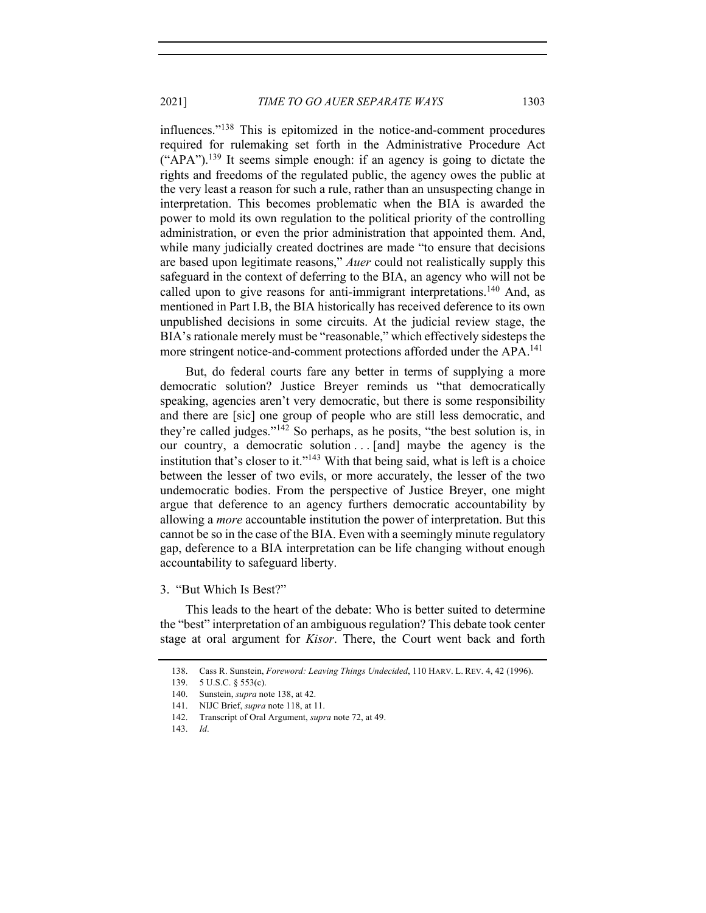influences."138 This is epitomized in the notice-and-comment procedures required for rulemaking set forth in the Administrative Procedure Act  $("APA")$ .<sup>139</sup> It seems simple enough: if an agency is going to dictate the rights and freedoms of the regulated public, the agency owes the public at the very least a reason for such a rule, rather than an unsuspecting change in interpretation. This becomes problematic when the BIA is awarded the power to mold its own regulation to the political priority of the controlling administration, or even the prior administration that appointed them. And, while many judicially created doctrines are made "to ensure that decisions are based upon legitimate reasons," *Auer* could not realistically supply this safeguard in the context of deferring to the BIA, an agency who will not be called upon to give reasons for anti-immigrant interpretations.<sup>140</sup> And, as mentioned in Part I.B, the BIA historically has received deference to its own unpublished decisions in some circuits. At the judicial review stage, the BIA's rationale merely must be "reasonable," which effectively sidesteps the more stringent notice-and-comment protections afforded under the APA.<sup>141</sup>

But, do federal courts fare any better in terms of supplying a more democratic solution? Justice Breyer reminds us "that democratically speaking, agencies aren't very democratic, but there is some responsibility and there are [sic] one group of people who are still less democratic, and they're called judges."<sup>142</sup> So perhaps, as he posits, "the best solution is, in our country, a democratic solution . . . [and] maybe the agency is the institution that's closer to it."<sup>143</sup> With that being said, what is left is a choice between the lesser of two evils, or more accurately, the lesser of the two undemocratic bodies. From the perspective of Justice Breyer, one might argue that deference to an agency furthers democratic accountability by allowing a *more* accountable institution the power of interpretation. But this cannot be so in the case of the BIA. Even with a seemingly minute regulatory gap, deference to a BIA interpretation can be life changing without enough accountability to safeguard liberty.

This leads to the heart of the debate: Who is better suited to determine the "best" interpretation of an ambiguous regulation? This debate took center stage at oral argument for *Kisor*. There, the Court went back and forth

<sup>3. &</sup>quot;But Which Is Best?"

<sup>138.</sup> Cass R. Sunstein, *Foreword: Leaving Things Undecided*, 110 HARV. L. REV. 4, 42 (1996).

<sup>139.</sup> 5 U.S.C. § 553(c).

<sup>140.</sup> Sunstein, *supra* note 138, at 42.

<sup>141.</sup> NIJC Brief, *supra* note 118, at 11.

<sup>142.</sup> Transcript of Oral Argument, *supra* note 72, at 49.

<sup>143.</sup> *Id*.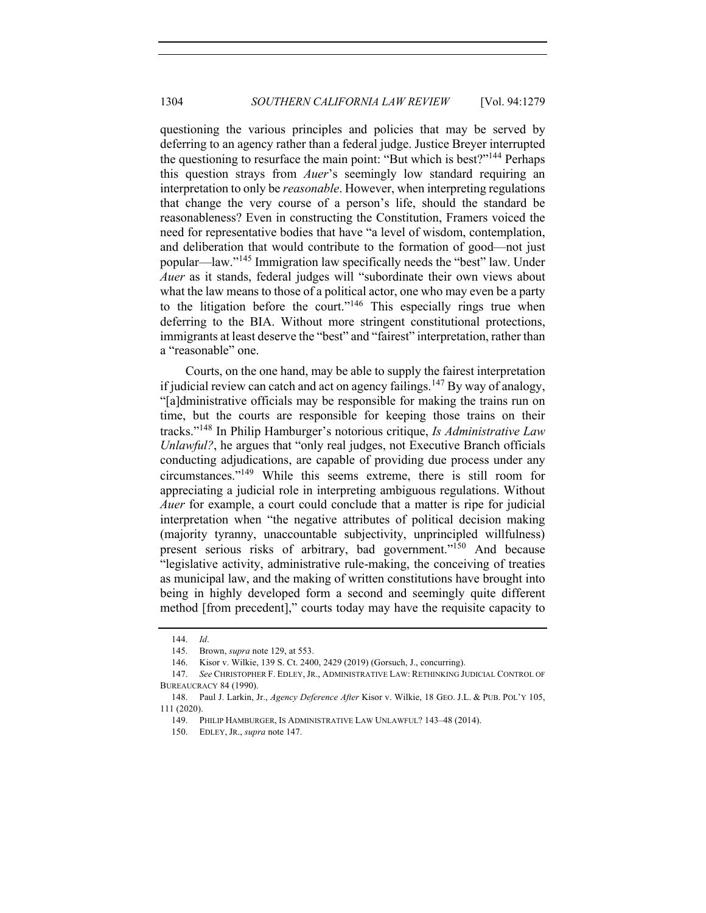questioning the various principles and policies that may be served by deferring to an agency rather than a federal judge. Justice Breyer interrupted the questioning to resurface the main point: "But which is best?"<sup>144</sup> Perhaps this question strays from *Auer*'s seemingly low standard requiring an interpretation to only be *reasonable*. However, when interpreting regulations that change the very course of a person's life, should the standard be reasonableness? Even in constructing the Constitution, Framers voiced the need for representative bodies that have "a level of wisdom, contemplation, and deliberation that would contribute to the formation of good—not just popular—law."<sup>145</sup> Immigration law specifically needs the "best" law. Under *Auer* as it stands, federal judges will "subordinate their own views about what the law means to those of a political actor, one who may even be a party to the litigation before the court."<sup>146</sup> This especially rings true when deferring to the BIA. Without more stringent constitutional protections, immigrants at least deserve the "best" and "fairest" interpretation, rather than a "reasonable" one.

Courts, on the one hand, may be able to supply the fairest interpretation if judicial review can catch and act on agency failings.<sup>147</sup> By way of analogy, "[a]dministrative officials may be responsible for making the trains run on time, but the courts are responsible for keeping those trains on their tracks."148 In Philip Hamburger's notorious critique, *Is Administrative Law Unlawful?*, he argues that "only real judges, not Executive Branch officials" conducting adjudications, are capable of providing due process under any circumstances."149 While this seems extreme, there is still room for appreciating a judicial role in interpreting ambiguous regulations. Without *Auer* for example, a court could conclude that a matter is ripe for judicial interpretation when "the negative attributes of political decision making (majority tyranny, unaccountable subjectivity, unprincipled willfulness) present serious risks of arbitrary, bad government."150 And because "legislative activity, administrative rule-making, the conceiving of treaties as municipal law, and the making of written constitutions have brought into being in highly developed form a second and seemingly quite different method [from precedent]," courts today may have the requisite capacity to

<sup>144.</sup> *Id*.

<sup>145.</sup> Brown, *supra* note 129, at 553.

<sup>146.</sup> Kisor v. Wilkie, 139 S. Ct. 2400, 2429 (2019) (Gorsuch, J., concurring).

<sup>147.</sup> *See* CHRISTOPHER F. EDLEY, JR., ADMINISTRATIVE LAW: RETHINKING JUDICIAL CONTROL OF BUREAUCRACY 84 (1990).

<sup>148.</sup> Paul J. Larkin, Jr., *Agency Deference After* Kisor v. Wilkie, 18 GEO. J.L. & PUB. POL'Y 105, 111 (2020).

<sup>149.</sup> PHILIP HAMBURGER, IS ADMINISTRATIVE LAW UNLAWFUL? 143–48 (2014).

<sup>150.</sup> EDLEY, JR., *supra* note 147.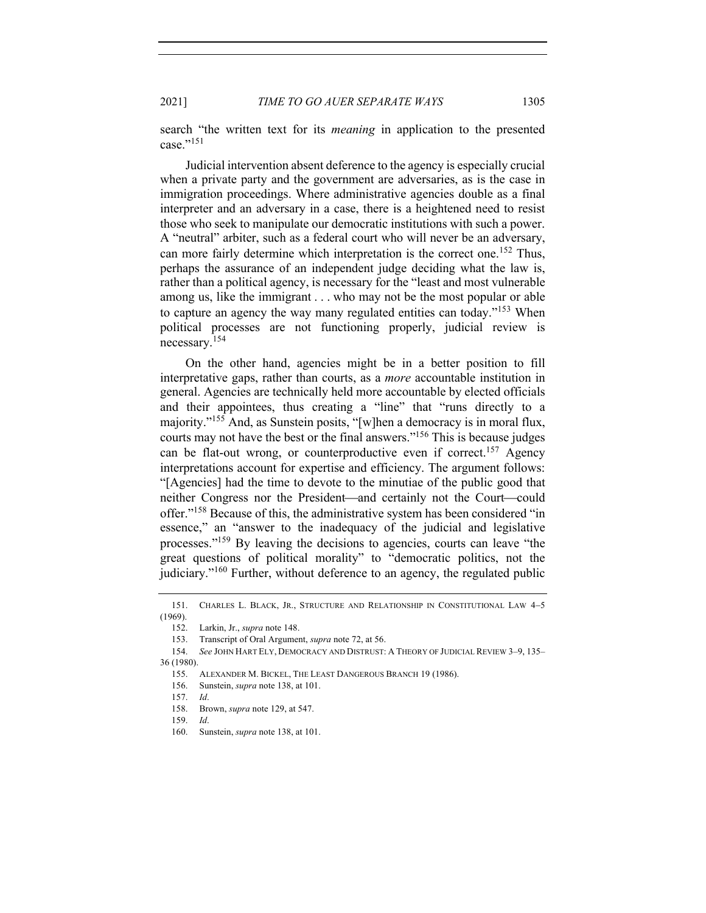2021] *TIME TO GO AUER SEPARATE WAYS* 1305

search "the written text for its *meaning* in application to the presented case." $^{151}$ 

Judicial intervention absent deference to the agency is especially crucial when a private party and the government are adversaries, as is the case in immigration proceedings. Where administrative agencies double as a final interpreter and an adversary in a case, there is a heightened need to resist those who seek to manipulate our democratic institutions with such a power. A "neutral" arbiter, such as a federal court who will never be an adversary, can more fairly determine which interpretation is the correct one.<sup>152</sup> Thus, perhaps the assurance of an independent judge deciding what the law is, rather than a political agency, is necessary for the "least and most vulnerable among us, like the immigrant . . . who may not be the most popular or able to capture an agency the way many regulated entities can today."<sup>153</sup> When political processes are not functioning properly, judicial review is necessary.<sup>154</sup>

On the other hand, agencies might be in a better position to fill interpretative gaps, rather than courts, as a *more* accountable institution in general. Agencies are technically held more accountable by elected officials and their appointees, thus creating a "line" that "runs directly to a majority."155 And, as Sunstein posits, "[w]hen a democracy is in moral flux, courts may not have the best or the final answers."156 This is because judges can be flat-out wrong, or counterproductive even if correct.<sup>157</sup> Agency interpretations account for expertise and efficiency. The argument follows: "[Agencies] had the time to devote to the minutiae of the public good that neither Congress nor the President—and certainly not the Court—could offer."<sup>158</sup> Because of this, the administrative system has been considered "in essence," an "answer to the inadequacy of the judicial and legislative processes."159 By leaving the decisions to agencies, courts can leave "the great questions of political morality" to "democratic politics, not the judiciary."<sup>160</sup> Further, without deference to an agency, the regulated public

<sup>151.</sup> CHARLES L. BLACK, JR., STRUCTURE AND RELATIONSHIP IN CONSTITUTIONAL LAW 4-5 (1969).

<sup>152.</sup> Larkin, Jr., *supra* note 148.

<sup>153.</sup> Transcript of Oral Argument, *supra* note 72, at 56.

<sup>154.</sup> *See* JOHN HART ELY, DEMOCRACY AND DISTRUST: A THEORY OF JUDICIAL REVIEW 3–9, 135– 36 (1980).

<sup>155.</sup> ALEXANDER M. BICKEL, THE LEAST DANGEROUS BRANCH 19 (1986).

<sup>156.</sup> Sunstein, *supra* note 138, at 101.

<sup>157.</sup> *Id*.

<sup>158.</sup> Brown, *supra* note 129, at 547.

<sup>159.</sup> *Id*.

<sup>160.</sup> Sunstein, *supra* note 138, at 101.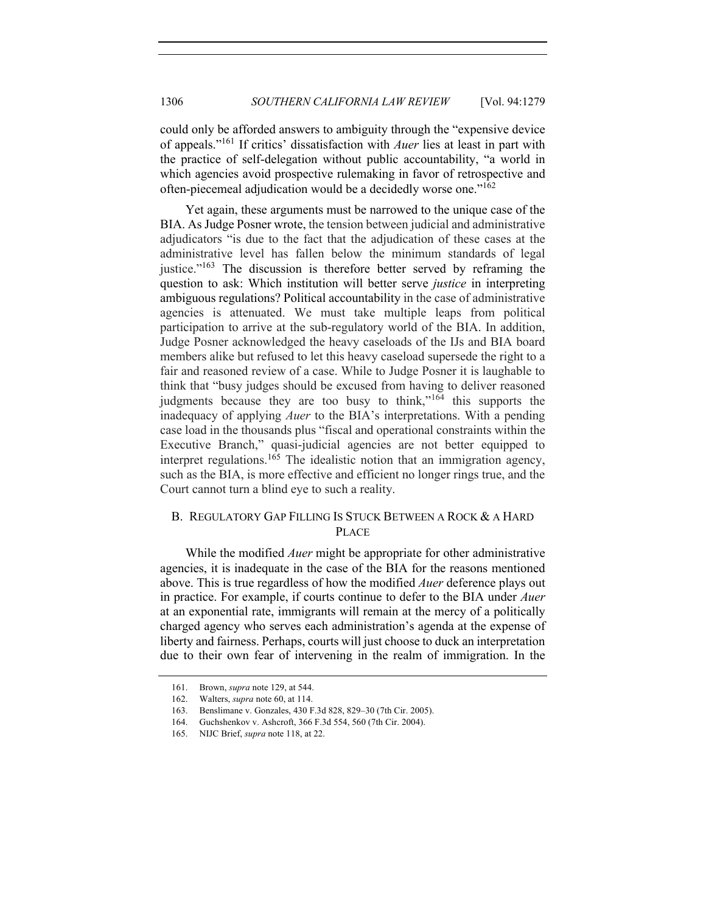could only be afforded answers to ambiguity through the "expensive device of appeals."161 If critics' dissatisfaction with *Auer* lies at least in part with the practice of self-delegation without public accountability, "a world in which agencies avoid prospective rulemaking in favor of retrospective and often-piecemeal adjudication would be a decidedly worse one."162

Yet again, these arguments must be narrowed to the unique case of the BIA. As Judge Posner wrote, the tension between judicial and administrative adjudicators "is due to the fact that the adjudication of these cases at the administrative level has fallen below the minimum standards of legal justice."<sup>163</sup> The discussion is therefore better served by reframing the question to ask: Which institution will better serve *justice* in interpreting ambiguous regulations? Political accountability in the case of administrative agencies is attenuated. We must take multiple leaps from political participation to arrive at the sub-regulatory world of the BIA. In addition, Judge Posner acknowledged the heavy caseloads of the IJs and BIA board members alike but refused to let this heavy caseload supersede the right to a fair and reasoned review of a case. While to Judge Posner it is laughable to think that "busy judges should be excused from having to deliver reasoned judgments because they are too busy to think,"<sup>164</sup> this supports the inadequacy of applying *Auer* to the BIA's interpretations. With a pending case load in the thousands plus "fiscal and operational constraints within the Executive Branch," quasi-judicial agencies are not better equipped to interpret regulations.<sup>165</sup> The idealistic notion that an immigration agency, such as the BIA, is more effective and efficient no longer rings true, and the Court cannot turn a blind eye to such a reality.

# B. REGULATORY GAP FILLING IS STUCK BETWEEN A ROCK & A HARD PLACE

While the modified *Auer* might be appropriate for other administrative agencies, it is inadequate in the case of the BIA for the reasons mentioned above. This is true regardless of how the modified *Auer* deference plays out in practice. For example, if courts continue to defer to the BIA under *Auer* at an exponential rate, immigrants will remain at the mercy of a politically charged agency who serves each administration's agenda at the expense of liberty and fairness. Perhaps, courts will just choose to duck an interpretation due to their own fear of intervening in the realm of immigration. In the

<sup>161.</sup> Brown, *supra* note 129, at 544.

<sup>162.</sup> Walters, *supra* note 60, at 114.

<sup>163.</sup> Benslimane v. Gonzales, 430 F.3d 828, 829–30 (7th Cir. 2005).

<sup>164.</sup> Guchshenkov v. Ashcroft, 366 F.3d 554, 560 (7th Cir. 2004).

<sup>165.</sup> NIJC Brief, *supra* note 118, at 22.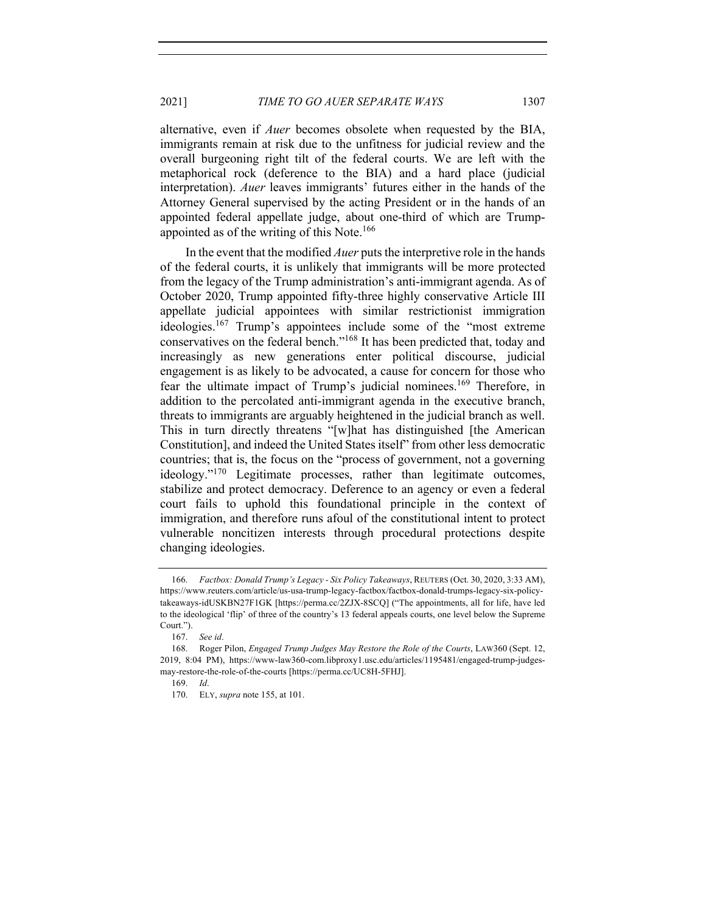alternative, even if *Auer* becomes obsolete when requested by the BIA, immigrants remain at risk due to the unfitness for judicial review and the overall burgeoning right tilt of the federal courts. We are left with the metaphorical rock (deference to the BIA) and a hard place (judicial interpretation). *Auer* leaves immigrants' futures either in the hands of the Attorney General supervised by the acting President or in the hands of an appointed federal appellate judge, about one-third of which are Trumpappointed as of the writing of this Note.<sup>166</sup>

In the event that the modified *Auer* puts the interpretive role in the hands of the federal courts, it is unlikely that immigrants will be more protected from the legacy of the Trump administration's anti-immigrant agenda. As of October 2020, Trump appointed fifty-three highly conservative Article III appellate judicial appointees with similar restrictionist immigration ideologies.<sup>167</sup> Trump's appointees include some of the "most extreme" conservatives on the federal bench."<sup>168</sup> It has been predicted that, today and increasingly as new generations enter political discourse, judicial engagement is as likely to be advocated, a cause for concern for those who fear the ultimate impact of Trump's judicial nominees.<sup>169</sup> Therefore, in addition to the percolated anti-immigrant agenda in the executive branch, threats to immigrants are arguably heightened in the judicial branch as well. This in turn directly threatens "[w]hat has distinguished [the American Constitution], and indeed the United States itself" from other less democratic countries; that is, the focus on the "process of government, not a governing ideology."<sup>170</sup> Legitimate processes, rather than legitimate outcomes, stabilize and protect democracy. Deference to an agency or even a federal court fails to uphold this foundational principle in the context of immigration, and therefore runs afoul of the constitutional intent to protect vulnerable noncitizen interests through procedural protections despite changing ideologies.

<sup>166.</sup> *Factbox: Donald Trump's Legacy - Six Policy Takeaways*, REUTERS (Oct. 30, 2020, 3:33 AM), https://www.reuters.com/article/us-usa-trump-legacy-factbox/factbox-donald-trumps-legacy-six-policytakeaways-idUSKBN27F1GK [https://perma.cc/2ZJX-8SCQ] ("The appointments, all for life, have led to the ideological 'flip' of three of the country's 13 federal appeals courts, one level below the Supreme Court.").

<sup>167.</sup> *See id*.

<sup>168.</sup> Roger Pilon, *Engaged Trump Judges May Restore the Role of the Courts*, LAW360 (Sept. 12, 2019, 8:04 PM), https://www-law360-com.libproxy1.usc.edu/articles/1195481/engaged-trump-judgesmay-restore-the-role-of-the-courts [https://perma.cc/UC8H-5FHJ].

<sup>169.</sup> *Id*.

<sup>170.</sup> ELY, *supra* note 155, at 101.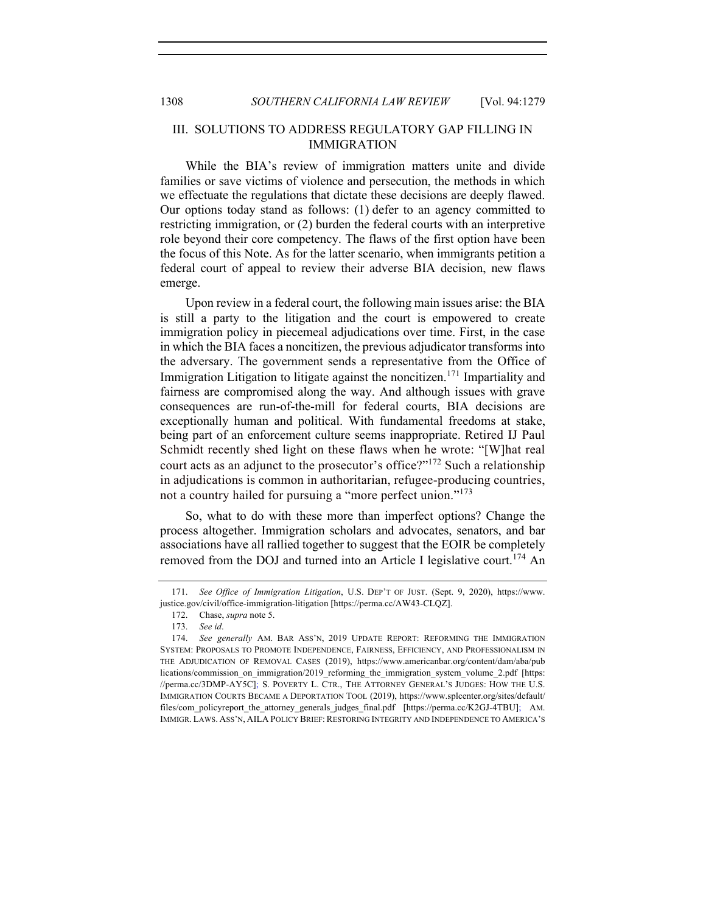## III. SOLUTIONS TO ADDRESS REGULATORY GAP FILLING IN IMMIGRATION

While the BIA's review of immigration matters unite and divide families or save victims of violence and persecution, the methods in which we effectuate the regulations that dictate these decisions are deeply flawed. Our options today stand as follows: (1) defer to an agency committed to restricting immigration, or (2) burden the federal courts with an interpretive role beyond their core competency. The flaws of the first option have been the focus of this Note. As for the latter scenario, when immigrants petition a federal court of appeal to review their adverse BIA decision, new flaws emerge.

Upon review in a federal court, the following main issues arise: the BIA is still a party to the litigation and the court is empowered to create immigration policy in piecemeal adjudications over time. First, in the case in which the BIA faces a noncitizen, the previous adjudicator transforms into the adversary. The government sends a representative from the Office of Immigration Litigation to litigate against the noncitizen.<sup>171</sup> Impartiality and fairness are compromised along the way. And although issues with grave consequences are run-of-the-mill for federal courts, BIA decisions are exceptionally human and political. With fundamental freedoms at stake, being part of an enforcement culture seems inappropriate. Retired IJ Paul Schmidt recently shed light on these flaws when he wrote: "[W]hat real court acts as an adjunct to the prosecutor's office?"<sup>172</sup> Such a relationship in adjudications is common in authoritarian, refugee-producing countries, not a country hailed for pursuing a "more perfect union."<sup>173</sup>

So, what to do with these more than imperfect options? Change the process altogether. Immigration scholars and advocates, senators, and bar associations have all rallied together to suggest that the EOIR be completely removed from the DOJ and turned into an Article I legislative court.<sup>174</sup> An

<sup>171.</sup> *See Office of Immigration Litigation*, U.S. DEP'T OF JUST. (Sept. 9, 2020), https://www. justice.gov/civil/office-immigration-litigation [https://perma.cc/AW43-CLQZ].

<sup>172.</sup> Chase, *supra* note 5.

<sup>173.</sup> *See id*.

<sup>174.</sup> *See generally* AM. BAR ASS'N, 2019 UPDATE REPORT: REFORMING THE IMMIGRATION SYSTEM: PROPOSALS TO PROMOTE INDEPENDENCE, FAIRNESS, EFFICIENCY, AND PROFESSIONALISM IN THE ADJUDICATION OF REMOVAL CASES (2019), https://www.americanbar.org/content/dam/aba/pub lications/commission\_on\_immigration/2019\_reforming\_the\_immigration\_system\_volume\_2.pdf [https: //perma.cc/3DMP-AY5C]; S. POVERTY L. CTR., THE ATTORNEY GENERAL'S JUDGES: HOW THE U.S. IMMIGRATION COURTS BECAME A DEPORTATION TOOL (2019), https://www.splcenter.org/sites/default/ files/com\_policyreport\_the\_attorney\_generals\_judges\_final.pdf [https://perma.cc/K2GJ-4TBU]; AM. IMMIGR. LAWS. ASS'N, AILA POLICY BRIEF: RESTORING INTEGRITY AND INDEPENDENCE TO AMERICA'S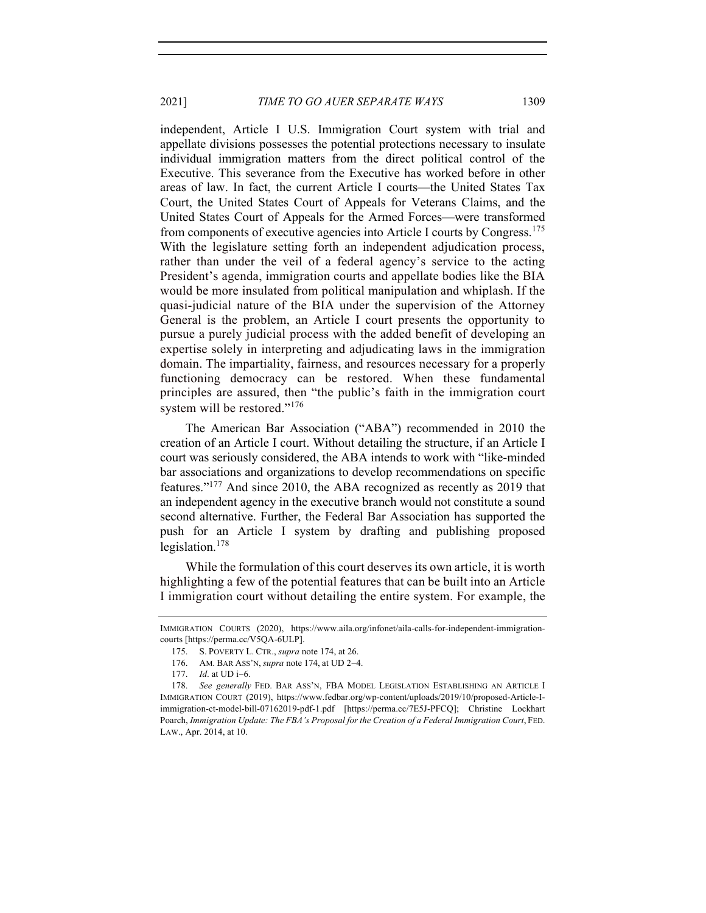2021] *TIME TO GO AUER SEPARATE WAYS* 1309

independent, Article I U.S. Immigration Court system with trial and appellate divisions possesses the potential protections necessary to insulate individual immigration matters from the direct political control of the Executive. This severance from the Executive has worked before in other areas of law. In fact, the current Article I courts—the United States Tax Court, the United States Court of Appeals for Veterans Claims, and the United States Court of Appeals for the Armed Forces—were transformed from components of executive agencies into Article I courts by Congress.<sup>175</sup> With the legislature setting forth an independent adjudication process, rather than under the veil of a federal agency's service to the acting President's agenda, immigration courts and appellate bodies like the BIA would be more insulated from political manipulation and whiplash. If the quasi-judicial nature of the BIA under the supervision of the Attorney General is the problem, an Article I court presents the opportunity to pursue a purely judicial process with the added benefit of developing an expertise solely in interpreting and adjudicating laws in the immigration domain. The impartiality, fairness, and resources necessary for a properly functioning democracy can be restored. When these fundamental principles are assured, then "the public's faith in the immigration court system will be restored."<sup>176</sup>

The American Bar Association ("ABA") recommended in 2010 the creation of an Article I court. Without detailing the structure, if an Article I court was seriously considered, the ABA intends to work with "like-minded bar associations and organizations to develop recommendations on specific features."<sup>177</sup> And since 2010, the ABA recognized as recently as 2019 that an independent agency in the executive branch would not constitute a sound second alternative. Further, the Federal Bar Association has supported the push for an Article I system by drafting and publishing proposed legislation.178

While the formulation of this court deserves its own article, it is worth highlighting a few of the potential features that can be built into an Article I immigration court without detailing the entire system. For example, the

IMMIGRATION COURTS (2020), https://www.aila.org/infonet/aila-calls-for-independent-immigrationcourts [https://perma.cc/V5QA-6ULP].

<sup>175.</sup> S. POVERTY L. CTR., *supra* note 174, at 26.

<sup>176.</sup> AM. BAR ASS'N, *supra* note 174, at UD 2-4.

<sup>177.</sup> *Id*. at UD i-6.

<sup>178.</sup> *See generally* FED. BAR ASS'N, FBA MODEL LEGISLATION ESTABLISHING AN ARTICLE I IMMIGRATION COURT (2019), https://www.fedbar.org/wp-content/uploads/2019/10/proposed-Article-Iimmigration-ct-model-bill-07162019-pdf-1.pdf [https://perma.cc/7E5J-PFCQ]; Christine Lockhart Poarch, *Immigration Update: The FBA's Proposal for the Creation of a Federal Immigration Court*, FED. LAW., Apr. 2014, at 10.